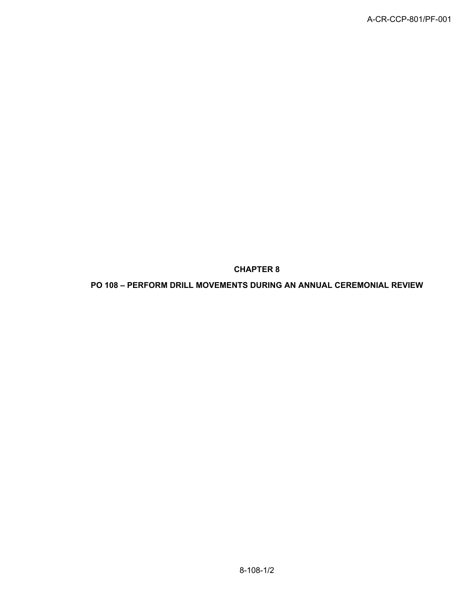**CHAPTER 8**

**PO 108 – PERFORM DRILL MOVEMENTS DURING AN ANNUAL CEREMONIAL REVIEW**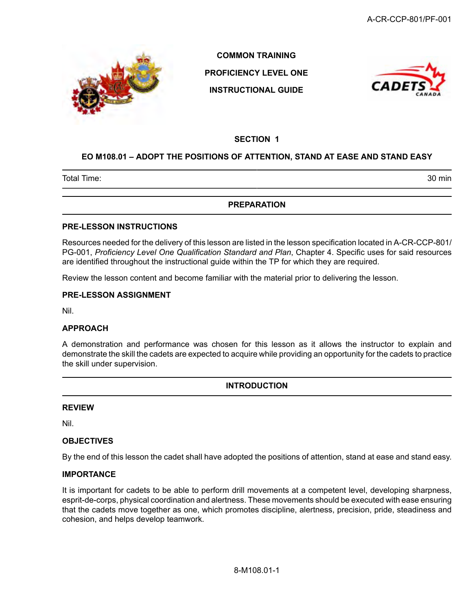

**COMMON TRAINING**

**PROFICIENCY LEVEL ONE**

**INSTRUCTIONAL GUIDE**



#### **SECTION 1**

# **EO M108.01 – ADOPT THE POSITIONS OF ATTENTION, STAND AT EASE AND STAND EASY**

Total Time: 30 min

## **PREPARATION**

#### **PRE-LESSON INSTRUCTIONS**

Resources needed for the delivery of this lesson are listed in the lesson specification located in A-CR-CCP-801/ PG-001, *Proficiency Level One Qualification Standard and Plan*, Chapter 4. Specific uses for said resources are identified throughout the instructional guide within the TP for which they are required.

Review the lesson content and become familiar with the material prior to delivering the lesson.

#### **PRE-LESSON ASSIGNMENT**

Nil.

#### **APPROACH**

A demonstration and performance was chosen for this lesson as it allows the instructor to explain and demonstrate the skill the cadets are expected to acquire while providing an opportunity for the cadets to practice the skill under supervision.

## **INTRODUCTION**

#### **REVIEW**

Nil.

#### **OBJECTIVES**

By the end of this lesson the cadet shall have adopted the positions of attention, stand at ease and stand easy.

#### **IMPORTANCE**

It is important for cadets to be able to perform drill movements at a competent level, developing sharpness, esprit-de-corps, physical coordination and alertness. These movements should be executed with ease ensuring that the cadets move together as one, which promotes discipline, alertness, precision, pride, steadiness and cohesion, and helps develop teamwork.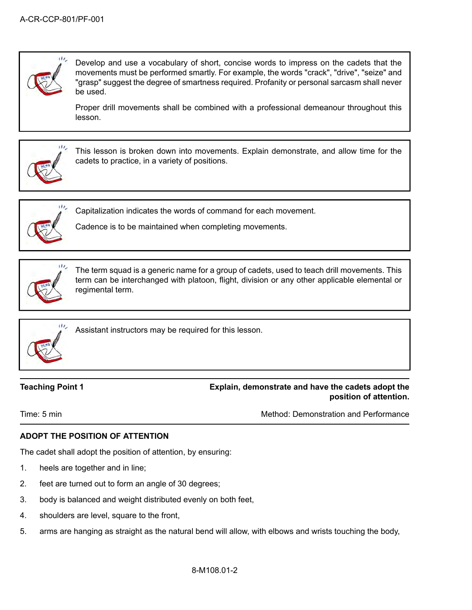

Develop and use a vocabulary of short, concise words to impress on the cadets that the movements must be performed smartly. For example, the words "crack", "drive", "seize" and "grasp" suggest the degree of smartness required. Profanity or personal sarcasm shall never be used.

Proper drill movements shall be combined with a professional demeanour throughout this lesson.



This lesson is broken down into movements. Explain demonstrate, and allow time for the cadets to practice, in a variety of positions.



Capitalization indicates the words of command for each movement.

Cadence is to be maintained when completing movements.



The term squad is a generic name for a group of cadets, used to teach drill movements. This term can be interchanged with platoon, flight, division or any other applicable elemental or regimental term.



Assistant instructors may be required for this lesson.

**Teaching Point 1 Explain, demonstrate and have the cadets adopt the position of attention.**

Time: 5 min Method: Demonstration and Performance

# **ADOPT THE POSITION OF ATTENTION**

The cadet shall adopt the position of attention, by ensuring:

- 1. heels are together and in line;
- 2. feet are turned out to form an angle of 30 degrees;
- 3. body is balanced and weight distributed evenly on both feet,
- 4. shoulders are level, square to the front,
- 5. arms are hanging as straight as the natural bend will allow, with elbows and wrists touching the body,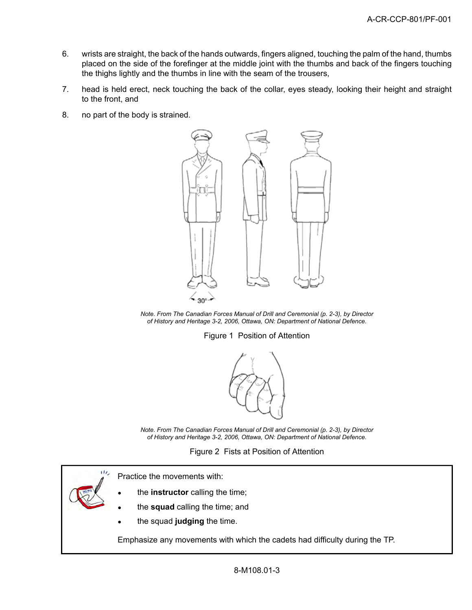- 6. wrists are straight, the back of the hands outwards, fingers aligned, touching the palm of the hand, thumbs placed on the side of the forefinger at the middle joint with the thumbs and back of the fingers touching the thighs lightly and the thumbs in line with the seam of the trousers,
- 7. head is held erect, neck touching the back of the collar, eyes steady, looking their height and straight to the front, and
- 8. no part of the body is strained.



*Note. From The Canadian Forces Manual of Drill and Ceremonial (p. 2-3), by Director of History and Heritage 3-2, 2006, Ottawa, ON: Department of National Defence.*

Figure 1 Position of Attention



*Note. From The Canadian Forces Manual of Drill and Ceremonial (p. 2-3), by Director of History and Heritage 3-2, 2006, Ottawa, ON: Department of National Defence.*

Figure 2 Fists at Position of Attention



Practice the movements with:

- the **instructor** calling the time;
- the **squad** calling the time; and
- the squad **judging** the time.

Emphasize any movements with which the cadets had difficulty during the TP.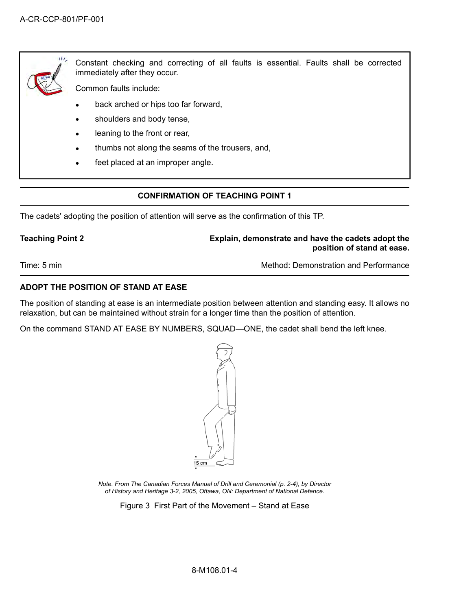

Constant checking and correcting of all faults is essential. Faults shall be corrected immediately after they occur.

Common faults include:

- back arched or hips too far forward,
- shoulders and body tense,
- leaning to the front or rear,
- thumbs not along the seams of the trousers, and,
- feet placed at an improper angle.

## **CONFIRMATION OF TEACHING POINT 1**

The cadets' adopting the position of attention will serve as the confirmation of this TP.

## **Teaching Point 2 Explain, demonstrate and have the cadets adopt the position of stand at ease.**

Time: 5 min Method: Demonstration and Performance

# **ADOPT THE POSITION OF STAND AT EASE**

The position of standing at ease is an intermediate position between attention and standing easy. It allows no relaxation, but can be maintained without strain for a longer time than the position of attention.

On the command STAND AT EASE BY NUMBERS, SQUAD—ONE, the cadet shall bend the left knee.



*Note. From The Canadian Forces Manual of Drill and Ceremonial (p. 2-4), by Director of History and Heritage 3-2, 2005, Ottawa, ON: Department of National Defence.*

Figure 3 First Part of the Movement – Stand at Ease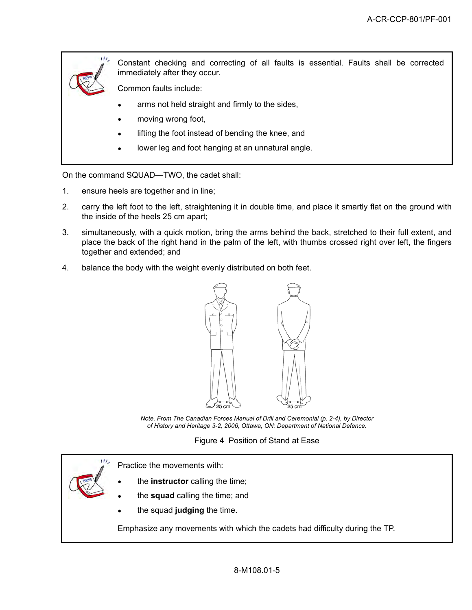

Constant checking and correcting of all faults is essential. Faults shall be corrected immediately after they occur.

Common faults include:

- arms not held straight and firmly to the sides,
- moving wrong foot,
- lifting the foot instead of bending the knee, and
- lower leg and foot hanging at an unnatural angle.

On the command SQUAD—TWO, the cadet shall:

- 1. ensure heels are together and in line;
- 2. carry the left foot to the left, straightening it in double time, and place it smartly flat on the ground with the inside of the heels 25 cm apart;
- 3. simultaneously, with a quick motion, bring the arms behind the back, stretched to their full extent, and place the back of the right hand in the palm of the left, with thumbs crossed right over left, the fingers together and extended; and
- 4. balance the body with the weight evenly distributed on both feet.



*Note. From The Canadian Forces Manual of Drill and Ceremonial (p. 2-4), by Director of History and Heritage 3-2, 2006, Ottawa, ON: Department of National Defence.*

Figure 4 Position of Stand at Ease

uz. Practice the movements with:

- the **instructor** calling the time;
- the **squad** calling the time; and
- the squad **judging** the time.

Emphasize any movements with which the cadets had difficulty during the TP.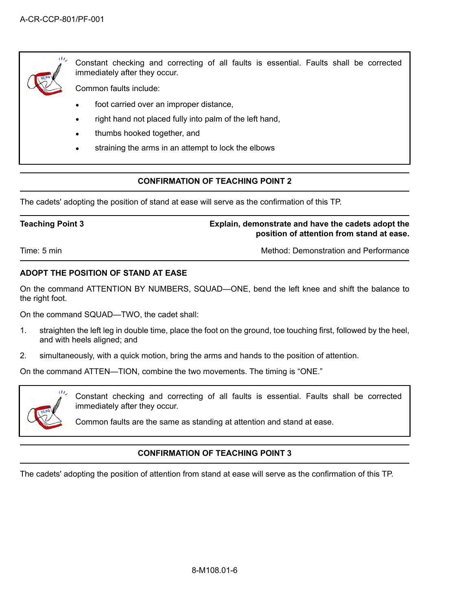

Constant checking and correcting of all faults is essential. Faults shall be corrected immediately after they occur.

Common faults include:

- foot carried over an improper distance,
- right hand not placed fully into palm of the left hand,
- thumbs hooked together, and
- straining the arms in an attempt to lock the elbows

## **CONFIRMATION OF TEACHING POINT 2**

The cadets' adopting the position of stand at ease will serve as the confirmation of this TP.

**Teaching Point 3 Explain, demonstrate and have the cadets adopt the position of attention from stand at ease.**

Time: 5 min Method: Demonstration and Performance

## **ADOPT THE POSITION OF STAND AT EASE**

On the command ATTENTION BY NUMBERS, SQUAD—ONE, bend the left knee and shift the balance to the right foot.

On the command SQUAD—TWO, the cadet shall:

- 1. straighten the left leg in double time, place the foot on the ground, toe touching first, followed by the heel, and with heels aligned; and
- 2. simultaneously, with a quick motion, bring the arms and hands to the position of attention.

On the command ATTEN—TION, combine the two movements. The timing is "ONE."



Constant checking and correcting of all faults is essential. Faults shall be corrected immediately after they occur.

Common faults are the same as standing at attention and stand at ease.

# **CONFIRMATION OF TEACHING POINT 3**

The cadets' adopting the position of attention from stand at ease will serve as the confirmation of this TP.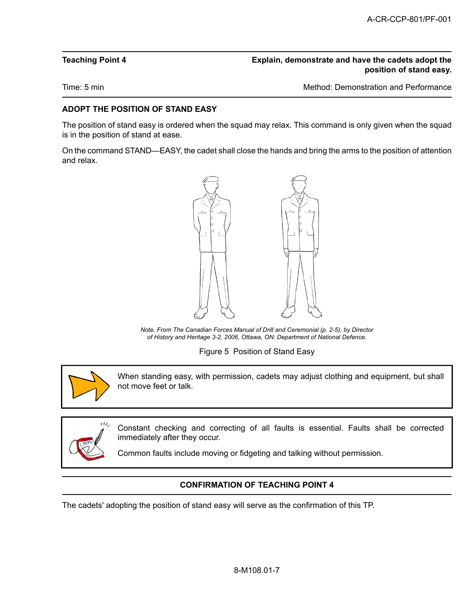# **Teaching Point 4 Explain, demonstrate and have the cadets adopt the position of stand easy.**

Time: 5 min Method: Demonstration and Performance

# **ADOPT THE POSITION OF STAND EASY**

The position of stand easy is ordered when the squad may relax. This command is only given when the squad is in the position of stand at ease.

On the command STAND—EASY, the cadet shall close the hands and bring the arms to the position of attention and relax.



*Note. From The Canadian Forces Manual of Drill and Ceremonial (p. 2-5), by Director of History and Heritage 3-2, 2006, Ottawa, ON: Department of National Defence.*

Figure 5 Position of Stand Easy



When standing easy, with permission, cadets may adjust clothing and equipment, but shall not move feet or talk.



Constant checking and correcting of all faults is essential. Faults shall be corrected immediately after they occur.

Common faults include moving or fidgeting and talking without permission.

# **CONFIRMATION OF TEACHING POINT 4**

The cadets' adopting the position of stand easy will serve as the confirmation of this TP.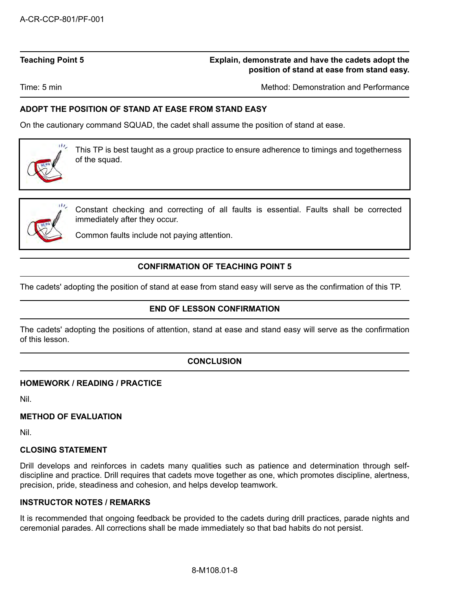## **Teaching Point 5 Explain, demonstrate and have the cadets adopt the position of stand at ease from stand easy.**

Time: 5 min Method: Demonstration and Performance

## **ADOPT THE POSITION OF STAND AT EASE FROM STAND EASY**

On the cautionary command SQUAD, the cadet shall assume the position of stand at ease.



This TP is best taught as a group practice to ensure adherence to timings and togetherness of the squad.



Constant checking and correcting of all faults is essential. Faults shall be corrected immediately after they occur.

Common faults include not paying attention.

# **CONFIRMATION OF TEACHING POINT 5**

The cadets' adopting the position of stand at ease from stand easy will serve as the confirmation of this TP.

#### **END OF LESSON CONFIRMATION**

The cadets' adopting the positions of attention, stand at ease and stand easy will serve as the confirmation of this lesson.

#### **CONCLUSION**

## **HOMEWORK / READING / PRACTICE**

Nil.

## **METHOD OF EVALUATION**

Nil.

## **CLOSING STATEMENT**

Drill develops and reinforces in cadets many qualities such as patience and determination through selfdiscipline and practice. Drill requires that cadets move together as one, which promotes discipline, alertness, precision, pride, steadiness and cohesion, and helps develop teamwork.

## **INSTRUCTOR NOTES / REMARKS**

It is recommended that ongoing feedback be provided to the cadets during drill practices, parade nights and ceremonial parades. All corrections shall be made immediately so that bad habits do not persist.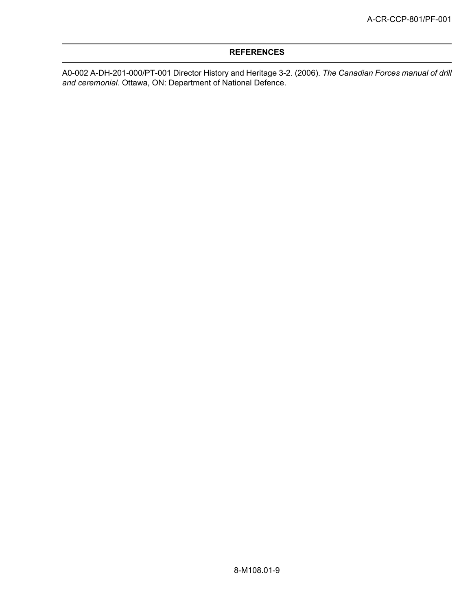## **REFERENCES**

A0-002 A-DH-201-000/PT-001 Director History and Heritage 3-2. (2006). *The Canadian Forces manual of drill and ceremonial*. Ottawa, ON: Department of National Defence.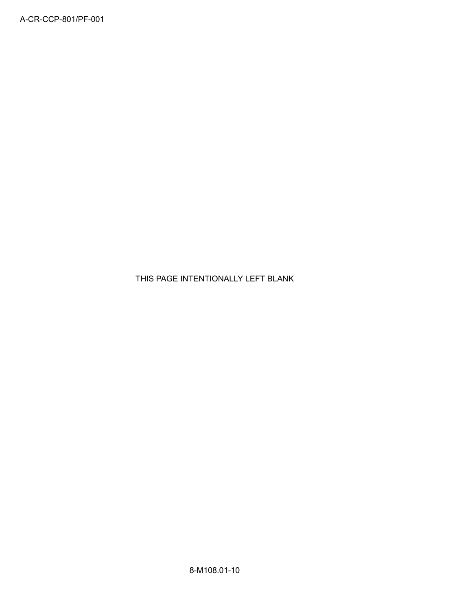THIS PAGE INTENTIONALLY LEFT BLANK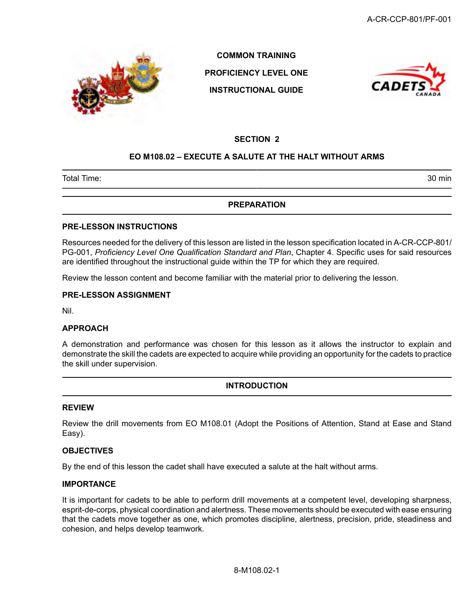

**COMMON TRAINING**

**PROFICIENCY LEVEL ONE**

**INSTRUCTIONAL GUIDE**



## **SECTION 2**

## **EO M108.02 – EXECUTE A SALUTE AT THE HALT WITHOUT ARMS**

Total Time: 30 min

## **PREPARATION**

#### **PRE-LESSON INSTRUCTIONS**

Resources needed for the delivery of this lesson are listed in the lesson specification located in A-CR-CCP-801/ PG-001, *Proficiency Level One Qualification Standard and Plan*, Chapter 4. Specific uses for said resources are identified throughout the instructional guide within the TP for which they are required.

Review the lesson content and become familiar with the material prior to delivering the lesson.

#### **PRE-LESSON ASSIGNMENT**

Nil.

#### **APPROACH**

A demonstration and performance was chosen for this lesson as it allows the instructor to explain and demonstrate the skill the cadets are expected to acquire while providing an opportunity for the cadets to practice the skill under supervision.

## **INTRODUCTION**

#### **REVIEW**

Review the drill movements from EO M108.01 (Adopt the Positions of Attention, Stand at Ease and Stand Easy).

## **OBJECTIVES**

By the end of this lesson the cadet shall have executed a salute at the halt without arms.

#### **IMPORTANCE**

It is important for cadets to be able to perform drill movements at a competent level, developing sharpness, esprit-de-corps, physical coordination and alertness. These movements should be executed with ease ensuring that the cadets move together as one, which promotes discipline, alertness, precision, pride, steadiness and cohesion, and helps develop teamwork.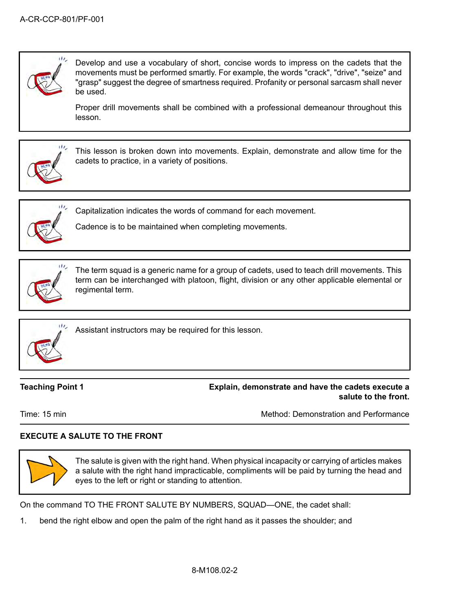

Develop and use a vocabulary of short, concise words to impress on the cadets that the movements must be performed smartly. For example, the words "crack", "drive", "seize" and "grasp" suggest the degree of smartness required. Profanity or personal sarcasm shall never be used.

Proper drill movements shall be combined with a professional demeanour throughout this lesson.



This lesson is broken down into movements. Explain, demonstrate and allow time for the cadets to practice, in a variety of positions.



Capitalization indicates the words of command for each movement.

Cadence is to be maintained when completing movements.



The term squad is a generic name for a group of cadets, used to teach drill movements. This term can be interchanged with platoon, flight, division or any other applicable elemental or regimental term.



Assistant instructors may be required for this lesson.

**Teaching Point 1 Explain, demonstrate and have the cadets execute a salute to the front.**

Time: 15 min Method: Demonstration and Performance

# **EXECUTE A SALUTE TO THE FRONT**



The salute is given with the right hand. When physical incapacity or carrying of articles makes a salute with the right hand impracticable, compliments will be paid by turning the head and eyes to the left or right or standing to attention.

On the command TO THE FRONT SALUTE BY NUMBERS, SQUAD—ONE, the cadet shall:

1. bend the right elbow and open the palm of the right hand as it passes the shoulder; and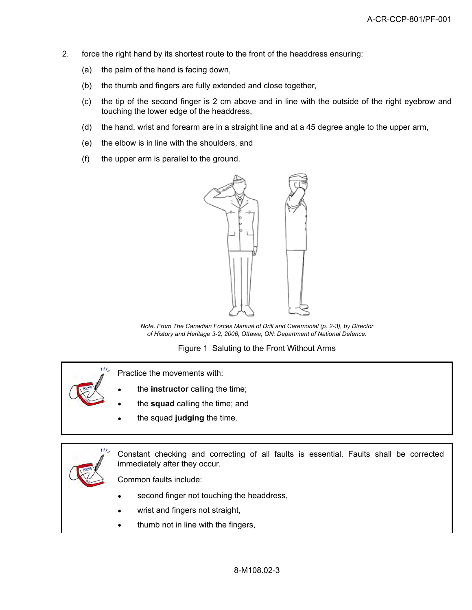- 2. force the right hand by its shortest route to the front of the headdress ensuring:
	- (a) the palm of the hand is facing down,
	- (b) the thumb and fingers are fully extended and close together,
	- (c) the tip of the second finger is 2 cm above and in line with the outside of the right eyebrow and touching the lower edge of the headdress,
	- (d) the hand, wrist and forearm are in a straight line and at a 45 degree angle to the upper arm,
	- (e) the elbow is in line with the shoulders, and
	- (f) the upper arm is parallel to the ground.



*Note. From The Canadian Forces Manual of Drill and Ceremonial (p. 2-3), by Director of History and Heritage 3-2, 2006, Ottawa, ON: Department of National Defence.*

Figure 1 Saluting to the Front Without Arms



Practice the movements with:

- the **instructor** calling the time;
- the **squad** calling the time; and
- the squad **judging** the time.



Constant checking and correcting of all faults is essential. Faults shall be corrected immediately after they occur.

Common faults include:

- second finger not touching the headdress,
- wrist and fingers not straight,
- thumb not in line with the fingers,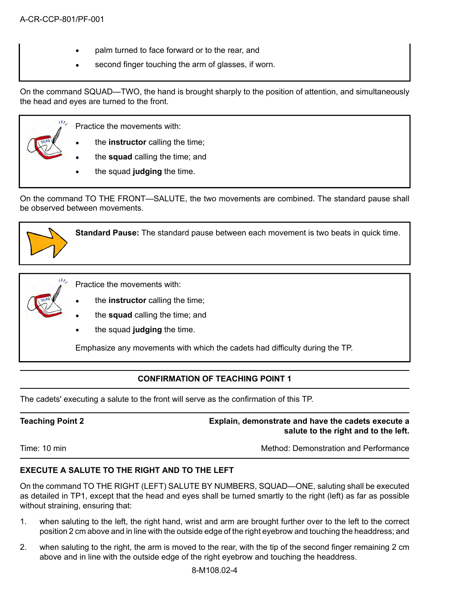- palm turned to face forward or to the rear, and
- second finger touching the arm of glasses, if worn.

On the command SQUAD—TWO, the hand is brought sharply to the position of attention, and simultaneously the head and eyes are turned to the front.

Practice the movements with:

- the **instructor** calling the time;
- the **squad** calling the time; and
- the squad **judging** the time.

On the command TO THE FRONT—SALUTE, the two movements are combined. The standard pause shall be observed between movements.





- Practice the movements with:
	- the **instructor** calling the time;
- the **squad** calling the time; and
- the squad **judging** the time.

Emphasize any movements with which the cadets had difficulty during the TP.

# **CONFIRMATION OF TEACHING POINT 1**

The cadets' executing a salute to the front will serve as the confirmation of this TP.

**Teaching Point 2 Explain, demonstrate and have the cadets execute a salute to the right and to the left.**

Time: 10 min Method: Demonstration and Performance

# **EXECUTE A SALUTE TO THE RIGHT AND TO THE LEFT**

On the command TO THE RIGHT (LEFT) SALUTE BY NUMBERS, SQUAD—ONE, saluting shall be executed as detailed in TP1, except that the head and eyes shall be turned smartly to the right (left) as far as possible without straining, ensuring that:

- 1. when saluting to the left, the right hand, wrist and arm are brought further over to the left to the correct position 2 cm above and in line with the outside edge of the right eyebrow and touching the headdress; and
- 2. when saluting to the right, the arm is moved to the rear, with the tip of the second finger remaining 2 cm above and in line with the outside edge of the right eyebrow and touching the headdress.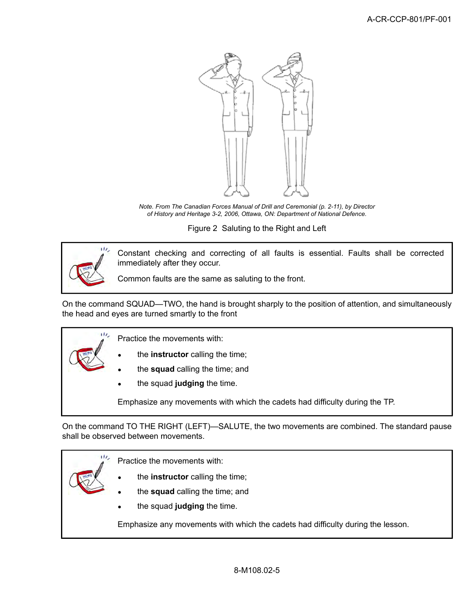

*Note. From The Canadian Forces Manual of Drill and Ceremonial (p. 2-11), by Director of History and Heritage 3-2, 2006, Ottawa, ON: Department of National Defence.*

Figure 2 Saluting to the Right and Left



Constant checking and correcting of all faults is essential. Faults shall be corrected immediately after they occur.

Common faults are the same as saluting to the front.

On the command SQUAD—TWO, the hand is brought sharply to the position of attention, and simultaneously the head and eyes are turned smartly to the front

> Hz. Practice the movements with:

> > •

 $117.$ 

- the **instructor** calling the time;
- the **squad** calling the time; and
- the squad **judging** the time.

Emphasize any movements with which the cadets had difficulty during the TP.

On the command TO THE RIGHT (LEFT)—SALUTE, the two movements are combined. The standard pause shall be observed between movements.

Practice the movements with:

- the **instructor** calling the time;
- the **squad** calling the time; and
- the squad **judging** the time.

Emphasize any movements with which the cadets had difficulty during the lesson.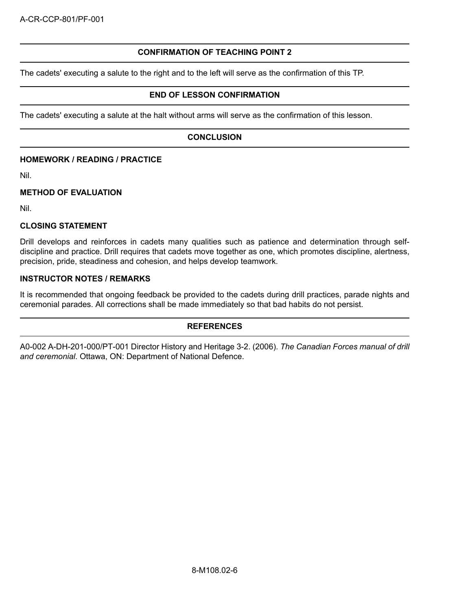# **CONFIRMATION OF TEACHING POINT 2**

The cadets' executing a salute to the right and to the left will serve as the confirmation of this TP.

## **END OF LESSON CONFIRMATION**

The cadets' executing a salute at the halt without arms will serve as the confirmation of this lesson.

## **CONCLUSION**

#### **HOMEWORK / READING / PRACTICE**

Nil.

## **METHOD OF EVALUATION**

Nil.

#### **CLOSING STATEMENT**

Drill develops and reinforces in cadets many qualities such as patience and determination through selfdiscipline and practice. Drill requires that cadets move together as one, which promotes discipline, alertness, precision, pride, steadiness and cohesion, and helps develop teamwork.

#### **INSTRUCTOR NOTES / REMARKS**

It is recommended that ongoing feedback be provided to the cadets during drill practices, parade nights and ceremonial parades. All corrections shall be made immediately so that bad habits do not persist.

# **REFERENCES**

A0-002 A-DH-201-000/PT-001 Director History and Heritage 3-2. (2006). *The Canadian Forces manual of drill and ceremonial*. Ottawa, ON: Department of National Defence.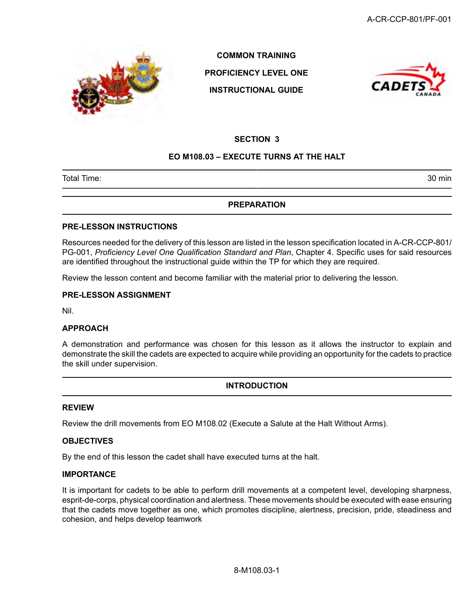

**COMMON TRAINING**

**PROFICIENCY LEVEL ONE**

**INSTRUCTIONAL GUIDE**



## **SECTION 3**

## **EO M108.03 – EXECUTE TURNS AT THE HALT**

Total Time: 30 min

## **PREPARATION**

## **PRE-LESSON INSTRUCTIONS**

Resources needed for the delivery of this lesson are listed in the lesson specification located in A-CR-CCP-801/ PG-001, *Proficiency Level One Qualification Standard and Plan*, Chapter 4. Specific uses for said resources are identified throughout the instructional guide within the TP for which they are required.

Review the lesson content and become familiar with the material prior to delivering the lesson.

#### **PRE-LESSON ASSIGNMENT**

Nil.

## **APPROACH**

A demonstration and performance was chosen for this lesson as it allows the instructor to explain and demonstrate the skill the cadets are expected to acquire while providing an opportunity for the cadets to practice the skill under supervision.

# **INTRODUCTION**

#### **REVIEW**

Review the drill movements from EO M108.02 (Execute a Salute at the Halt Without Arms).

## **OBJECTIVES**

By the end of this lesson the cadet shall have executed turns at the halt.

#### **IMPORTANCE**

It is important for cadets to be able to perform drill movements at a competent level, developing sharpness, esprit-de-corps, physical coordination and alertness. These movements should be executed with ease ensuring that the cadets move together as one, which promotes discipline, alertness, precision, pride, steadiness and cohesion, and helps develop teamwork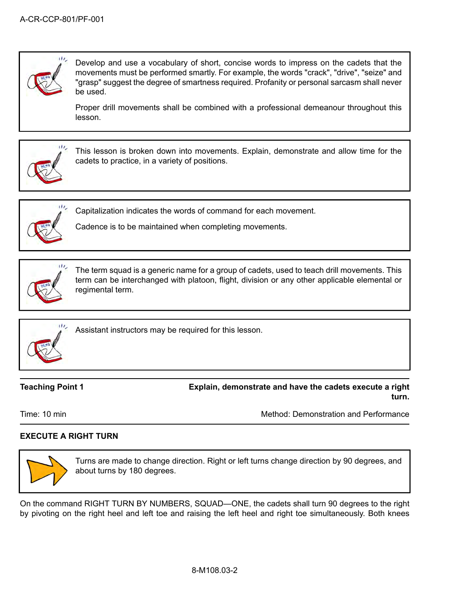

Develop and use a vocabulary of short, concise words to impress on the cadets that the movements must be performed smartly. For example, the words "crack", "drive", "seize" and "grasp" suggest the degree of smartness required. Profanity or personal sarcasm shall never be used.

Proper drill movements shall be combined with a professional demeanour throughout this lesson.



This lesson is broken down into movements. Explain, demonstrate and allow time for the cadets to practice, in a variety of positions.



Capitalization indicates the words of command for each movement.

Cadence is to be maintained when completing movements.



The term squad is a generic name for a group of cadets, used to teach drill movements. This term can be interchanged with platoon, flight, division or any other applicable elemental or regimental term.



Assistant instructors may be required for this lesson.

**Teaching Point 1 Explain, demonstrate and have the cadets execute a right turn.**

Time: 10 min Method: Demonstration and Performance

# **EXECUTE A RIGHT TURN**



Turns are made to change direction. Right or left turns change direction by 90 degrees, and about turns by 180 degrees.

On the command RIGHT TURN BY NUMBERS, SQUAD—ONE, the cadets shall turn 90 degrees to the right by pivoting on the right heel and left toe and raising the left heel and right toe simultaneously. Both knees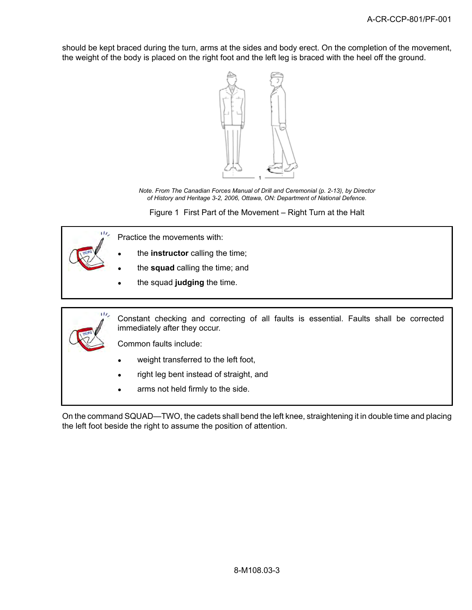should be kept braced during the turn, arms at the sides and body erect. On the completion of the movement, the weight of the body is placed on the right foot and the left leg is braced with the heel off the ground.



*Note. From The Canadian Forces Manual of Drill and Ceremonial (p. 2-13), by Director of History and Heritage 3-2, 2006, Ottawa, ON: Department of National Defence.*

Figure 1 First Part of the Movement – Right Turn at the Halt

Practice the movements with:

•

 $\mathbf{u}_i$ 

- the **instructor** calling the time;
- the **squad** calling the time; and
- the squad **judging** the time.



Common faults include:

- weight transferred to the left foot,
- right leg bent instead of straight, and
- arms not held firmly to the side.

On the command SQUAD—TWO, the cadets shall bend the left knee, straightening it in double time and placing the left foot beside the right to assume the position of attention.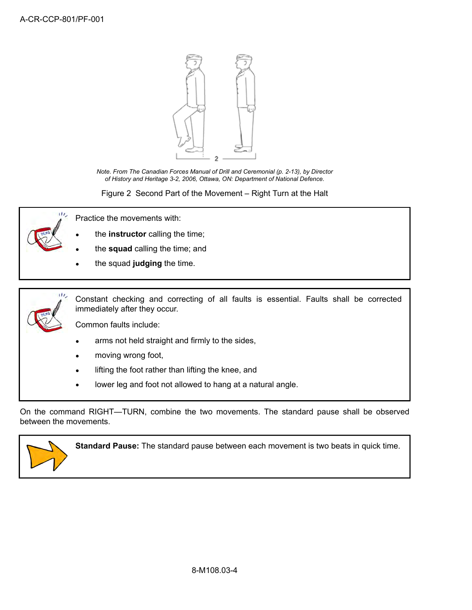

*Note. From The Canadian Forces Manual of Drill and Ceremonial (p. 2-13), by Director of History and Heritage 3-2, 2006, Ottawa, ON: Department of National Defence.*

Figure 2 Second Part of the Movement – Right Turn at the Halt



Practice the movements with:

- the **instructor** calling the time;
- the **squad** calling the time; and
- the squad **judging** the time.



Constant checking and correcting of all faults is essential. Faults shall be corrected immediately after they occur.

Common faults include:

- arms not held straight and firmly to the sides,
- moving wrong foot,
- lifting the foot rather than lifting the knee, and
- lower leg and foot not allowed to hang at a natural angle.

On the command RIGHT—TURN, combine the two movements. The standard pause shall be observed between the movements.



**Standard Pause:** The standard pause between each movement is two beats in quick time.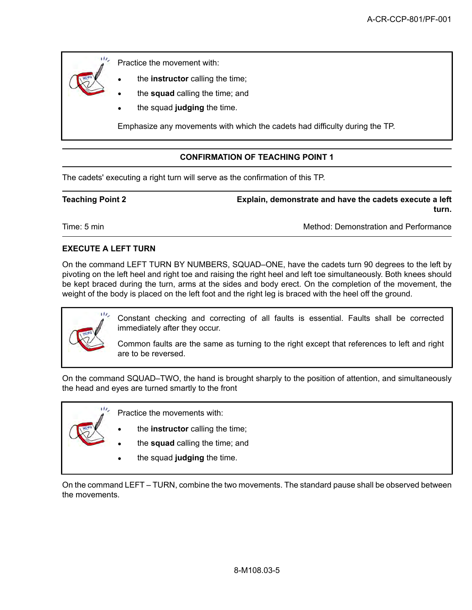Hz. Practice the movement with:

- the **instructor** calling the time;
- the **squad** calling the time; and
- the squad **judging** the time.

Emphasize any movements with which the cadets had difficulty during the TP.

# **CONFIRMATION OF TEACHING POINT 1**

The cadets' executing a right turn will serve as the confirmation of this TP.

**Teaching Point 2 Explain, demonstrate and have the cadets execute a left turn.**

Time: 5 min Method: Demonstration and Performance

# **EXECUTE A LEFT TURN**

On the command LEFT TURN BY NUMBERS, SQUAD–ONE, have the cadets turn 90 degrees to the left by pivoting on the left heel and right toe and raising the right heel and left toe simultaneously. Both knees should be kept braced during the turn, arms at the sides and body erect. On the completion of the movement, the weight of the body is placed on the left foot and the right leg is braced with the heel off the ground.



Constant checking and correcting of all faults is essential. Faults shall be corrected immediately after they occur.

Common faults are the same as turning to the right except that references to left and right are to be reversed.

On the command SQUAD–TWO, the hand is brought sharply to the position of attention, and simultaneously the head and eyes are turned smartly to the front



•

Practice the movements with:

- the **instructor** calling the time;
- the **squad** calling the time; and
- the squad **judging** the time.

On the command LEFT – TURN, combine the two movements. The standard pause shall be observed between the movements.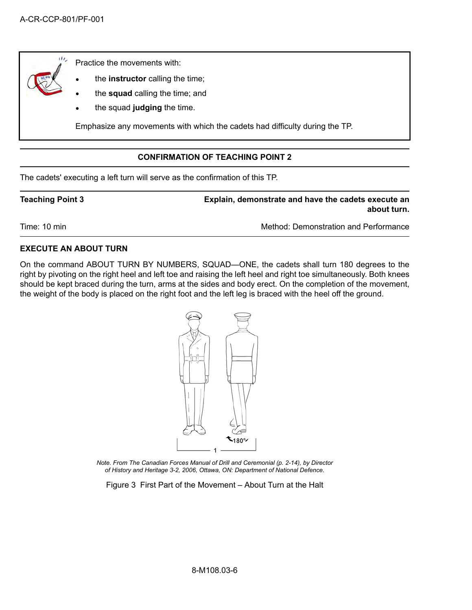•

 $112,$ 

Practice the movements with:

- the **instructor** calling the time;
- the **squad** calling the time; and
- the squad **judging** the time.

Emphasize any movements with which the cadets had difficulty during the TP.

# **CONFIRMATION OF TEACHING POINT 2**

The cadets' executing a left turn will serve as the confirmation of this TP.

**Teaching Point 3 Explain, demonstrate and have the cadets execute an about turn.**

Time: 10 min Method: Demonstration and Performance

## **EXECUTE AN ABOUT TURN**

On the command ABOUT TURN BY NUMBERS, SQUAD—ONE, the cadets shall turn 180 degrees to the right by pivoting on the right heel and left toe and raising the left heel and right toe simultaneously. Both knees should be kept braced during the turn, arms at the sides and body erect. On the completion of the movement, the weight of the body is placed on the right foot and the left leg is braced with the heel off the ground.



*Note. From The Canadian Forces Manual of Drill and Ceremonial (p. 2-14), by Director of History and Heritage 3-2, 2006, Ottawa, ON: Department of National Defence.*

Figure 3 First Part of the Movement – About Turn at the Halt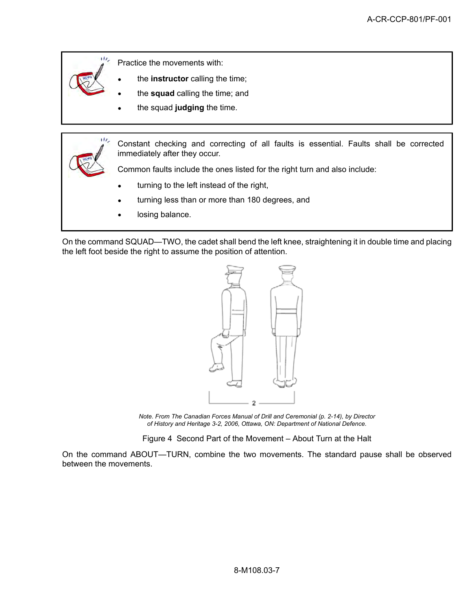u, Practice the movements with:

- the **instructor** calling the time;
- the **squad** calling the time; and
- the squad **judging** the time.



Constant checking and correcting of all faults is essential. Faults shall be corrected immediately after they occur.

Common faults include the ones listed for the right turn and also include:

- turning to the left instead of the right,
- turning less than or more than 180 degrees, and
- losing balance.

On the command SQUAD—TWO, the cadet shall bend the left knee, straightening it in double time and placing the left foot beside the right to assume the position of attention.



*Note. From The Canadian Forces Manual of Drill and Ceremonial (p. 2-14), by Director of History and Heritage 3-2, 2006, Ottawa, ON: Department of National Defence.*

Figure 4 Second Part of the Movement – About Turn at the Halt

On the command ABOUT—TURN, combine the two movements. The standard pause shall be observed between the movements.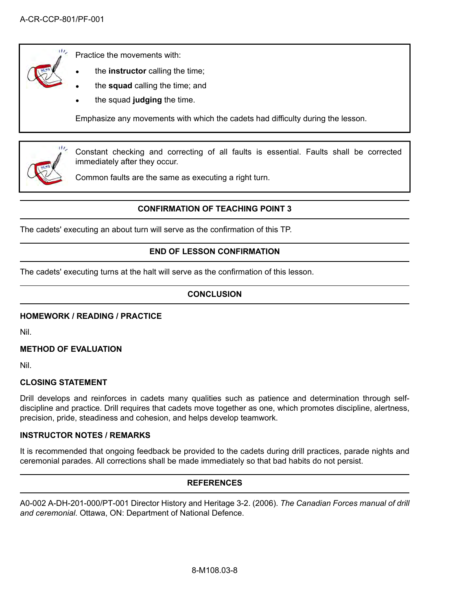$117.$ 

Practice the movements with:

- the **instructor** calling the time;
- the **squad** calling the time; and
- the squad **judging** the time.

Emphasize any movements with which the cadets had difficulty during the lesson.



Constant checking and correcting of all faults is essential. Faults shall be corrected immediately after they occur.

Common faults are the same as executing a right turn.

# **CONFIRMATION OF TEACHING POINT 3**

The cadets' executing an about turn will serve as the confirmation of this TP.

# **END OF LESSON CONFIRMATION**

The cadets' executing turns at the halt will serve as the confirmation of this lesson.

# **CONCLUSION**

## **HOMEWORK / READING / PRACTICE**

Nil.

## **METHOD OF EVALUATION**

Nil.

## **CLOSING STATEMENT**

Drill develops and reinforces in cadets many qualities such as patience and determination through selfdiscipline and practice. Drill requires that cadets move together as one, which promotes discipline, alertness, precision, pride, steadiness and cohesion, and helps develop teamwork.

## **INSTRUCTOR NOTES / REMARKS**

It is recommended that ongoing feedback be provided to the cadets during drill practices, parade nights and ceremonial parades. All corrections shall be made immediately so that bad habits do not persist.

# **REFERENCES**

A0-002 A-DH-201-000/PT-001 Director History and Heritage 3-2. (2006). *The Canadian Forces manual of drill and ceremonial*. Ottawa, ON: Department of National Defence.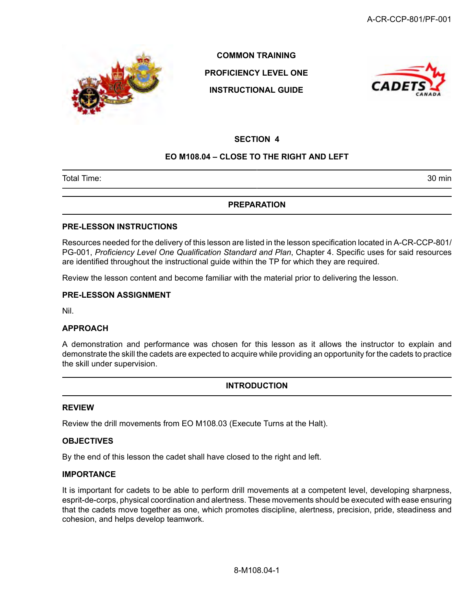

**COMMON TRAINING**

**PROFICIENCY LEVEL ONE**

**INSTRUCTIONAL GUIDE**



#### **SECTION 4**

## **EO M108.04 – CLOSE TO THE RIGHT AND LEFT**

Total Time: 30 min

## **PREPARATION**

#### **PRE-LESSON INSTRUCTIONS**

Resources needed for the delivery of this lesson are listed in the lesson specification located in A-CR-CCP-801/ PG-001, *Proficiency Level One Qualification Standard and Plan*, Chapter 4. Specific uses for said resources are identified throughout the instructional guide within the TP for which they are required.

Review the lesson content and become familiar with the material prior to delivering the lesson.

#### **PRE-LESSON ASSIGNMENT**

Nil.

#### **APPROACH**

A demonstration and performance was chosen for this lesson as it allows the instructor to explain and demonstrate the skill the cadets are expected to acquire while providing an opportunity for the cadets to practice the skill under supervision.

## **INTRODUCTION**

#### **REVIEW**

Review the drill movements from EO M108.03 (Execute Turns at the Halt).

#### **OBJECTIVES**

By the end of this lesson the cadet shall have closed to the right and left.

#### **IMPORTANCE**

It is important for cadets to be able to perform drill movements at a competent level, developing sharpness, esprit-de-corps, physical coordination and alertness. These movements should be executed with ease ensuring that the cadets move together as one, which promotes discipline, alertness, precision, pride, steadiness and cohesion, and helps develop teamwork.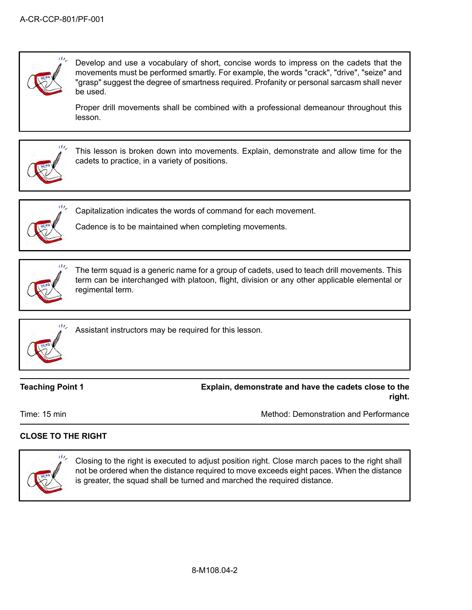

Develop and use a vocabulary of short, concise words to impress on the cadets that the movements must be performed smartly. For example, the words "crack", "drive", "seize" and "grasp" suggest the degree of smartness required. Profanity or personal sarcasm shall never be used.

Proper drill movements shall be combined with a professional demeanour throughout this lesson.



This lesson is broken down into movements. Explain, demonstrate and allow time for the cadets to practice, in a variety of positions.



Capitalization indicates the words of command for each movement.

Cadence is to be maintained when completing movements.



The term squad is a generic name for a group of cadets, used to teach drill movements. This term can be interchanged with platoon, flight, division or any other applicable elemental or regimental term.



Assistant instructors may be required for this lesson.

**Teaching Point 1 Explain, demonstrate and have the cadets close to the right.**

Time: 15 min Method: Demonstration and Performance

# **CLOSE TO THE RIGHT**



Closing to the right is executed to adjust position right. Close march paces to the right shall not be ordered when the distance required to move exceeds eight paces. When the distance is greater, the squad shall be turned and marched the required distance.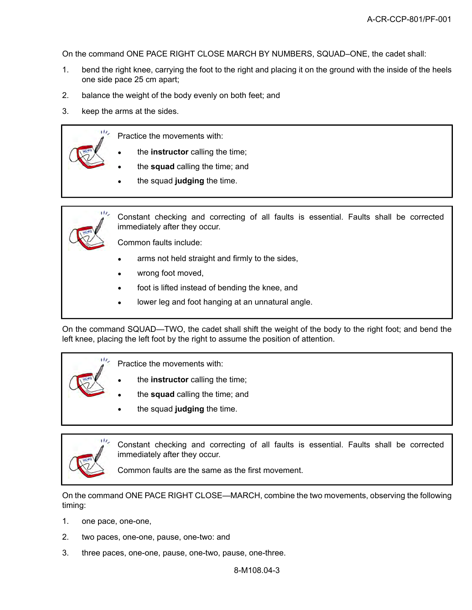On the command ONE PACE RIGHT CLOSE MARCH BY NUMBERS, SQUAD–ONE, the cadet shall:

- 1. bend the right knee, carrying the foot to the right and placing it on the ground with the inside of the heels one side pace 25 cm apart;
- 2. balance the weight of the body evenly on both feet; and
- 3. keep the arms at the sides.

•

- u, Practice the movements with:
	- the **instructor** calling the time;
	- the **squad** calling the time; and
	- the squad **judging** the time.



Common faults include:

- arms not held straight and firmly to the sides,
- wrong foot moved,
- foot is lifted instead of bending the knee, and
- lower leg and foot hanging at an unnatural angle.

On the command SQUAD—TWO, the cadet shall shift the weight of the body to the right foot; and bend the left knee, placing the left foot by the right to assume the position of attention.

۱IJ, Practice the movements with:

- the **instructor** calling the time;
- the **squad** calling the time; and
- the squad **judging** the time.



Constant checking and correcting of all faults is essential. Faults shall be corrected immediately after they occur.

Common faults are the same as the first movement.

On the command ONE PACE RIGHT CLOSE—MARCH, combine the two movements, observing the following timing:

- 1. one pace, one-one,
- 2. two paces, one-one, pause, one-two: and
- 3. three paces, one-one, pause, one-two, pause, one-three.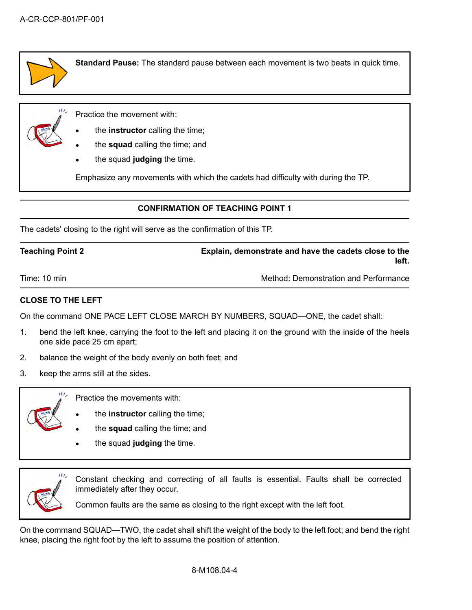

**Standard Pause:** The standard pause between each movement is two beats in quick time.

Practice the movement with:

- the **instructor** calling the time;
- the **squad** calling the time; and
- the squad **judging** the time.

Emphasize any movements with which the cadets had difficulty with during the TP.

#### **CONFIRMATION OF TEACHING POINT 1**

The cadets' closing to the right will serve as the confirmation of this TP.

**Teaching Point 2 Explain, demonstrate and have the cadets close to the left.**

Time: 10 min Method: Demonstration and Performance

# **CLOSE TO THE LEFT**

On the command ONE PACE LEFT CLOSE MARCH BY NUMBERS, SQUAD—ONE, the cadet shall:

- 1. bend the left knee, carrying the foot to the left and placing it on the ground with the inside of the heels one side pace 25 cm apart;
- 2. balance the weight of the body evenly on both feet; and
- 3. keep the arms still at the sides.



Practice the movements with:

- the **instructor** calling the time;
- the **squad** calling the time; and
- the squad **judging** the time.



Constant checking and correcting of all faults is essential. Faults shall be corrected immediately after they occur.

Common faults are the same as closing to the right except with the left foot.

On the command SQUAD—TWO, the cadet shall shift the weight of the body to the left foot; and bend the right knee, placing the right foot by the left to assume the position of attention.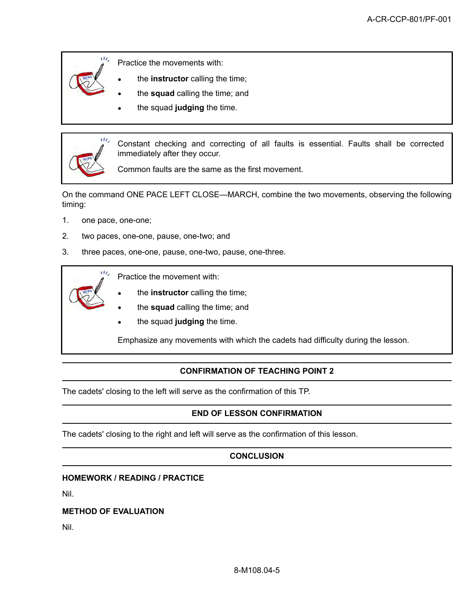Practice the movements with:

- the **instructor** calling the time;
- the **squad** calling the time; and
- the squad **judging** the time.



Constant checking and correcting of all faults is essential. Faults shall be corrected immediately after they occur.

Common faults are the same as the first movement.

On the command ONE PACE LEFT CLOSE—MARCH, combine the two movements, observing the following timing:

1. one pace, one-one;

u,

- 2. two paces, one-one, pause, one-two; and
- 3. three paces, one-one, pause, one-two, pause, one-three.



# **CONFIRMATION OF TEACHING POINT 2**

The cadets' closing to the left will serve as the confirmation of this TP.

# **END OF LESSON CONFIRMATION**

The cadets' closing to the right and left will serve as the confirmation of this lesson.

# **CONCLUSION**

## **HOMEWORK / READING / PRACTICE**

Nil.

## **METHOD OF EVALUATION**

Nil.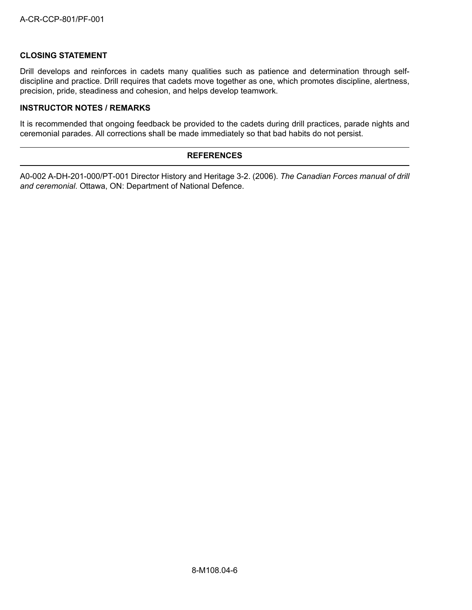#### **CLOSING STATEMENT**

Drill develops and reinforces in cadets many qualities such as patience and determination through selfdiscipline and practice. Drill requires that cadets move together as one, which promotes discipline, alertness, precision, pride, steadiness and cohesion, and helps develop teamwork.

#### **INSTRUCTOR NOTES / REMARKS**

It is recommended that ongoing feedback be provided to the cadets during drill practices, parade nights and ceremonial parades. All corrections shall be made immediately so that bad habits do not persist.

## **REFERENCES**

A0-002 A-DH-201-000/PT-001 Director History and Heritage 3-2. (2006). *The Canadian Forces manual of drill and ceremonial*. Ottawa, ON: Department of National Defence.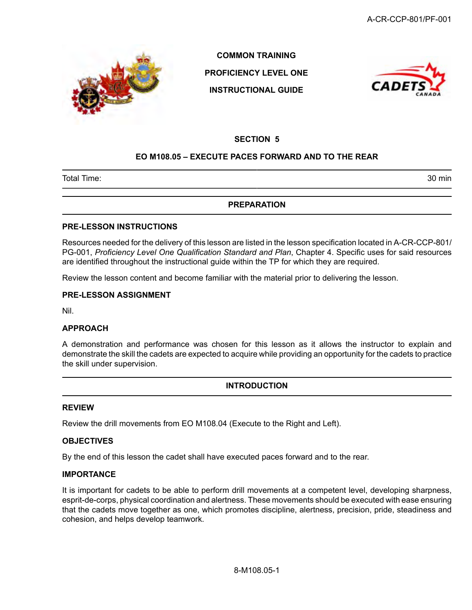

**COMMON TRAINING**

**PROFICIENCY LEVEL ONE**

**INSTRUCTIONAL GUIDE**



#### **SECTION 5**

## **EO M108.05 – EXECUTE PACES FORWARD AND TO THE REAR**

Total Time: 30 min

## **PREPARATION**

#### **PRE-LESSON INSTRUCTIONS**

Resources needed for the delivery of this lesson are listed in the lesson specification located in A-CR-CCP-801/ PG-001, *Proficiency Level One Qualification Standard and Plan*, Chapter 4. Specific uses for said resources are identified throughout the instructional guide within the TP for which they are required.

Review the lesson content and become familiar with the material prior to delivering the lesson.

#### **PRE-LESSON ASSIGNMENT**

Nil.

#### **APPROACH**

A demonstration and performance was chosen for this lesson as it allows the instructor to explain and demonstrate the skill the cadets are expected to acquire while providing an opportunity for the cadets to practice the skill under supervision.

## **INTRODUCTION**

#### **REVIEW**

Review the drill movements from EO M108.04 (Execute to the Right and Left).

#### **OBJECTIVES**

By the end of this lesson the cadet shall have executed paces forward and to the rear.

#### **IMPORTANCE**

It is important for cadets to be able to perform drill movements at a competent level, developing sharpness, esprit-de-corps, physical coordination and alertness. These movements should be executed with ease ensuring that the cadets move together as one, which promotes discipline, alertness, precision, pride, steadiness and cohesion, and helps develop teamwork.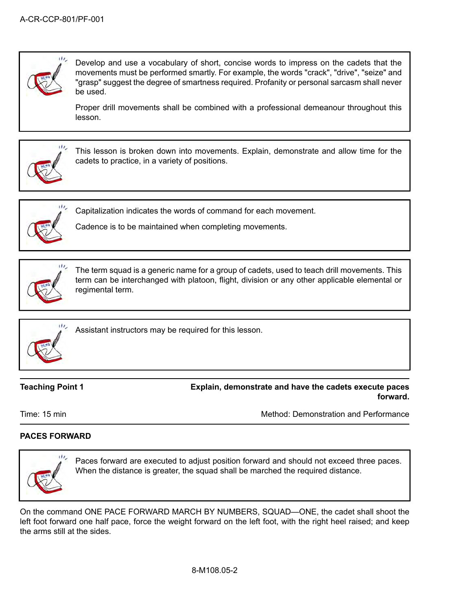

Develop and use a vocabulary of short, concise words to impress on the cadets that the movements must be performed smartly. For example, the words "crack", "drive", "seize" and "grasp" suggest the degree of smartness required. Profanity or personal sarcasm shall never be used.

Proper drill movements shall be combined with a professional demeanour throughout this lesson.



This lesson is broken down into movements. Explain, demonstrate and allow time for the cadets to practice, in a variety of positions.



Capitalization indicates the words of command for each movement.

Cadence is to be maintained when completing movements.



The term squad is a generic name for a group of cadets, used to teach drill movements. This term can be interchanged with platoon, flight, division or any other applicable elemental or regimental term.



Assistant instructors may be required for this lesson.

**Teaching Point 1 Explain, demonstrate and have the cadets execute paces forward.**

Time: 15 min Method: Demonstration and Performance

# **PACES FORWARD**



Paces forward are executed to adjust position forward and should not exceed three paces. When the distance is greater, the squad shall be marched the required distance.

On the command ONE PACE FORWARD MARCH BY NUMBERS, SQUAD—ONE, the cadet shall shoot the left foot forward one half pace, force the weight forward on the left foot, with the right heel raised; and keep the arms still at the sides.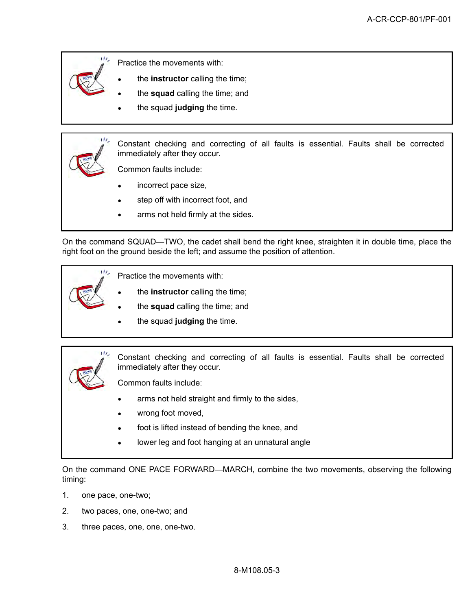Practice the movements with:

- the **instructor** calling the time;
- the **squad** calling the time; and
- the squad **judging** the time.



uz.

Constant checking and correcting of all faults is essential. Faults shall be corrected immediately after they occur.

Common faults include:

- incorrect pace size,
- step off with incorrect foot, and
- arms not held firmly at the sides.

On the command SQUAD—TWO, the cadet shall bend the right knee, straighten it in double time, place the right foot on the ground beside the left; and assume the position of attention.



•

- Practice the movements with:
	- the **instructor** calling the time;
	- the **squad** calling the time; and
	- the squad **judging** the time.



Constant checking and correcting of all faults is essential. Faults shall be corrected immediately after they occur.

Common faults include:

- arms not held straight and firmly to the sides,
- wrong foot moved,
- foot is lifted instead of bending the knee, and
- lower leg and foot hanging at an unnatural angle

On the command ONE PACE FORWARD—MARCH, combine the two movements, observing the following timing:

- 1. one pace, one-two;
- 2. two paces, one, one-two; and
- 3. three paces, one, one, one-two.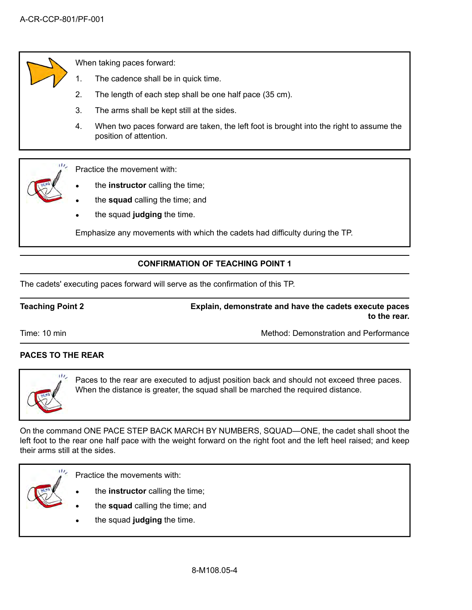$117.$ 

When taking paces forward:

- 1. The cadence shall be in quick time.
- 2. The length of each step shall be one half pace (35 cm).
- 3. The arms shall be kept still at the sides.
- 4. When two paces forward are taken, the left foot is brought into the right to assume the position of attention.

Practice the movement with:

- the **instructor** calling the time;
- the **squad** calling the time; and
- the squad **judging** the time.

Emphasize any movements with which the cadets had difficulty during the TP.

# **CONFIRMATION OF TEACHING POINT 1**

The cadets' executing paces forward will serve as the confirmation of this TP.

**Teaching Point 2 Explain, demonstrate and have the cadets execute paces to the rear.**

Time: 10 min Method: Demonstration and Performance

# **PACES TO THE REAR**



Paces to the rear are executed to adjust position back and should not exceed three paces. When the distance is greater, the squad shall be marched the required distance.

On the command ONE PACE STEP BACK MARCH BY NUMBERS, SQUAD—ONE, the cadet shall shoot the left foot to the rear one half pace with the weight forward on the right foot and the left heel raised; and keep their arms still at the sides.

ŵ,

Practice the movements with:

- the **instructor** calling the time;
- the **squad** calling the time; and
- the squad **judging** the time.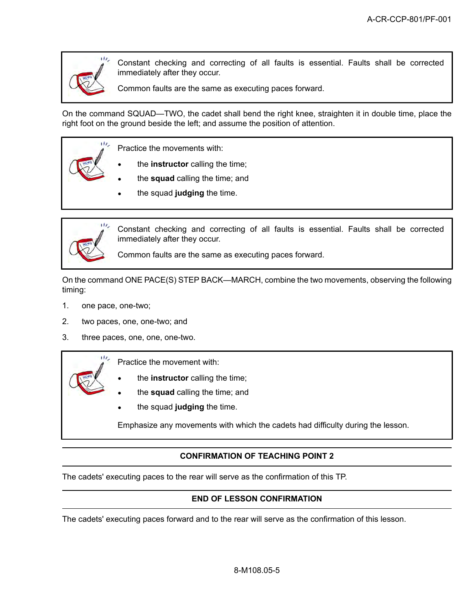

Constant checking and correcting of all faults is essential. Faults shall be corrected immediately after they occur.

Common faults are the same as executing paces forward.

On the command SQUAD—TWO, the cadet shall bend the right knee, straighten it in double time, place the right foot on the ground beside the left; and assume the position of attention.

Practice the movements with:

- the **instructor** calling the time;
- the **squad** calling the time; and
- the squad **judging** the time.



Constant checking and correcting of all faults is essential. Faults shall be corrected immediately after they occur.

Common faults are the same as executing paces forward.

On the command ONE PACE(S) STEP BACK—MARCH, combine the two movements, observing the following timing:

- 1. one pace, one-two;
- 2. two paces, one, one-two; and

•

w,

3. three paces, one, one, one-two.

Practice the movement with:

- the **instructor** calling the time;
- the **squad** calling the time; and
- the squad **judging** the time.

Emphasize any movements with which the cadets had difficulty during the lesson.

# **CONFIRMATION OF TEACHING POINT 2**

The cadets' executing paces to the rear will serve as the confirmation of this TP.

# **END OF LESSON CONFIRMATION**

The cadets' executing paces forward and to the rear will serve as the confirmation of this lesson.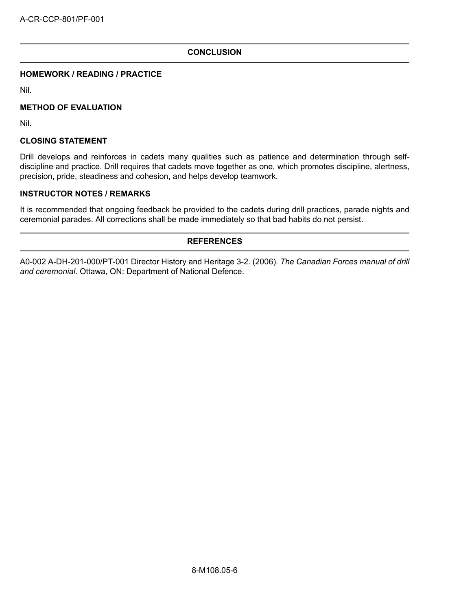# **CONCLUSION**

# **HOMEWORK / READING / PRACTICE**

Nil.

# **METHOD OF EVALUATION**

Nil.

# **CLOSING STATEMENT**

Drill develops and reinforces in cadets many qualities such as patience and determination through selfdiscipline and practice. Drill requires that cadets move together as one, which promotes discipline, alertness, precision, pride, steadiness and cohesion, and helps develop teamwork.

#### **INSTRUCTOR NOTES / REMARKS**

It is recommended that ongoing feedback be provided to the cadets during drill practices, parade nights and ceremonial parades. All corrections shall be made immediately so that bad habits do not persist.

# **REFERENCES**

A0-002 A-DH-201-000/PT-001 Director History and Heritage 3-2. (2006). *The Canadian Forces manual of drill and ceremonial*. Ottawa, ON: Department of National Defence.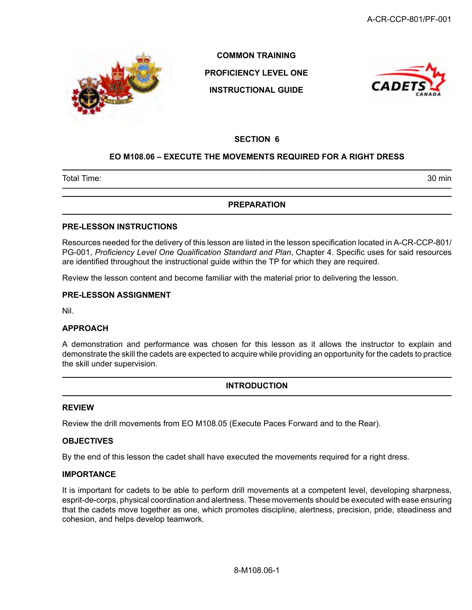

**COMMON TRAINING**

**PROFICIENCY LEVEL ONE**

**INSTRUCTIONAL GUIDE**



#### **SECTION 6**

# **EO M108.06 – EXECUTE THE MOVEMENTS REQUIRED FOR A RIGHT DRESS**

Total Time: 30 min

# **PREPARATION**

#### **PRE-LESSON INSTRUCTIONS**

Resources needed for the delivery of this lesson are listed in the lesson specification located in A-CR-CCP-801/ PG-001, *Proficiency Level One Qualification Standard and Plan*, Chapter 4. Specific uses for said resources are identified throughout the instructional guide within the TP for which they are required.

Review the lesson content and become familiar with the material prior to delivering the lesson.

#### **PRE-LESSON ASSIGNMENT**

Nil.

#### **APPROACH**

A demonstration and performance was chosen for this lesson as it allows the instructor to explain and demonstrate the skill the cadets are expected to acquire while providing an opportunity for the cadets to practice the skill under supervision.

# **INTRODUCTION**

#### **REVIEW**

Review the drill movements from EO M108.05 (Execute Paces Forward and to the Rear).

#### **OBJECTIVES**

By the end of this lesson the cadet shall have executed the movements required for a right dress.

#### **IMPORTANCE**

It is important for cadets to be able to perform drill movements at a competent level, developing sharpness, esprit-de-corps, physical coordination and alertness. These movements should be executed with ease ensuring that the cadets move together as one, which promotes discipline, alertness, precision, pride, steadiness and cohesion, and helps develop teamwork.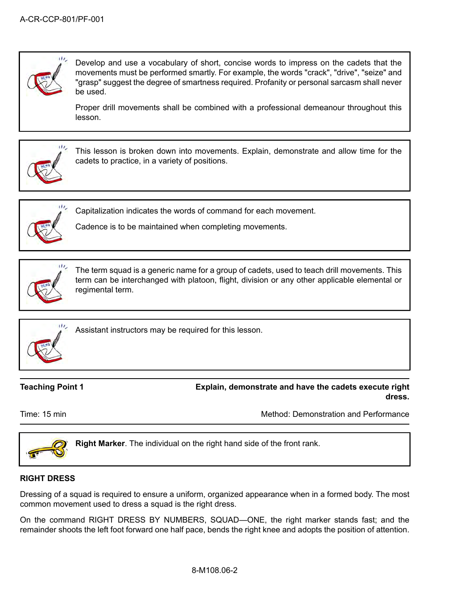

Develop and use a vocabulary of short, concise words to impress on the cadets that the movements must be performed smartly. For example, the words "crack", "drive", "seize" and "grasp" suggest the degree of smartness required. Profanity or personal sarcasm shall never be used.

Proper drill movements shall be combined with a professional demeanour throughout this lesson.



This lesson is broken down into movements. Explain, demonstrate and allow time for the cadets to practice, in a variety of positions.



Capitalization indicates the words of command for each movement.

Cadence is to be maintained when completing movements.



The term squad is a generic name for a group of cadets, used to teach drill movements. This term can be interchanged with platoon, flight, division or any other applicable elemental or regimental term.



Assistant instructors may be required for this lesson.

**Teaching Point 1 Explain, demonstrate and have the cadets execute right dress.**

Time: 15 min Method: Demonstration and Performance

**Right Marker**. The individual on the right hand side of the front rank.

# **RIGHT DRESS**

Dressing of a squad is required to ensure a uniform, organized appearance when in a formed body. The most common movement used to dress a squad is the right dress.

On the command RIGHT DRESS BY NUMBERS, SQUAD—ONE, the right marker stands fast; and the remainder shoots the left foot forward one half pace, bends the right knee and adopts the position of attention.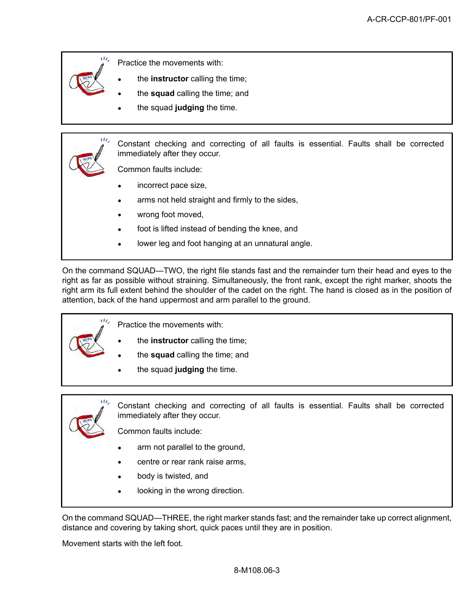Practice the movements with:

- the **instructor** calling the time;
- the **squad** calling the time; and
- the squad **judging** the time.



uz.

Constant checking and correcting of all faults is essential. Faults shall be corrected immediately after they occur.

Common faults include:

- incorrect pace size,
- arms not held straight and firmly to the sides,
- wrong foot moved,
- foot is lifted instead of bending the knee, and
- lower leg and foot hanging at an unnatural angle.

On the command SQUAD—TWO, the right file stands fast and the remainder turn their head and eyes to the right as far as possible without straining. Simultaneously, the front rank, except the right marker, shoots the right arm its full extent behind the shoulder of the cadet on the right. The hand is closed as in the position of attention, back of the hand uppermost and arm parallel to the ground.

- Practice the movements with:
	- the **instructor** calling the time;
	- the **squad** calling the time; and
	- the squad **judging** the time.



Constant checking and correcting of all faults is essential. Faults shall be corrected immediately after they occur.

Common faults include:

- arm not parallel to the ground,
- centre or rear rank raise arms,
- body is twisted, and
- looking in the wrong direction.

On the command SQUAD—THREE, the right marker stands fast; and the remainder take up correct alignment, distance and covering by taking short, quick paces until they are in position.

Movement starts with the left foot.

•

w

•

•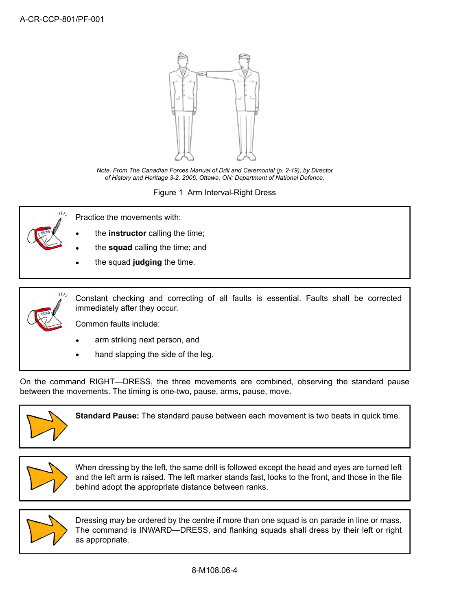

*Note. From The Canadian Forces Manual of Drill and Ceremonial (p. 2-19), by Director of History and Heritage 3-2, 2006, Ottawa, ON: Department of National Defence.*

Figure 1 Arm Interval-Right Dress



Practice the movements with:

- the **instructor** calling the time;
- the **squad** calling the time; and
- the squad **judging** the time.



Constant checking and correcting of all faults is essential. Faults shall be corrected immediately after they occur.

Common faults include:

- arm striking next person, and
- hand slapping the side of the leg.

On the command RIGHT—DRESS, the three movements are combined, observing the standard pause between the movements. The timing is one-two, pause, arms, pause, move.



**Standard Pause:** The standard pause between each movement is two beats in quick time.



When dressing by the left, the same drill is followed except the head and eyes are turned left and the left arm is raised. The left marker stands fast, looks to the front, and those in the file behind adopt the appropriate distance between ranks.



Dressing may be ordered by the centre if more than one squad is on parade in line or mass. The command is INWARD—DRESS, and flanking squads shall dress by their left or right as appropriate.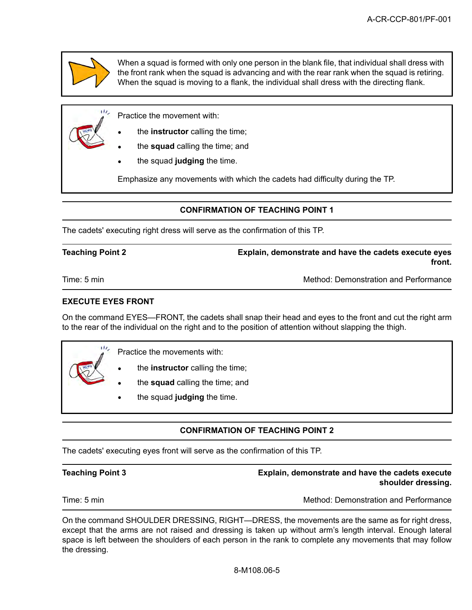

When a squad is formed with only one person in the blank file, that individual shall dress with the front rank when the squad is advancing and with the rear rank when the squad is retiring. When the squad is moving to a flank, the individual shall dress with the directing flank.

Practice the movement with:

- the **instructor** calling the time;
- the **squad** calling the time; and
- the squad **judging** the time.

Emphasize any movements with which the cadets had difficulty during the TP.

# **CONFIRMATION OF TEACHING POINT 1**

The cadets' executing right dress will serve as the confirmation of this TP.

**Teaching Point 2 Explain, demonstrate and have the cadets execute eyes front.**

Time: 5 min Method: Demonstration and Performance

# **EXECUTE EYES FRONT**

ŵ.

•

•

١IJ.

•

•

On the command EYES—FRONT, the cadets shall snap their head and eyes to the front and cut the right arm to the rear of the individual on the right and to the position of attention without slapping the thigh.

Practice the movements with:

• the **instructor** calling the time;

- the **squad** calling the time; and
- the squad **judging** the time.

# **CONFIRMATION OF TEACHING POINT 2**

The cadets' executing eyes front will serve as the confirmation of this TP.

**Teaching Point 3 Explain, demonstrate and have the cadets execute shoulder dressing.**

Time: 5 min Method: Demonstration and Performance

On the command SHOULDER DRESSING, RIGHT—DRESS, the movements are the same as for right dress, except that the arms are not raised and dressing is taken up without arm's length interval. Enough lateral space is left between the shoulders of each person in the rank to complete any movements that may follow the dressing.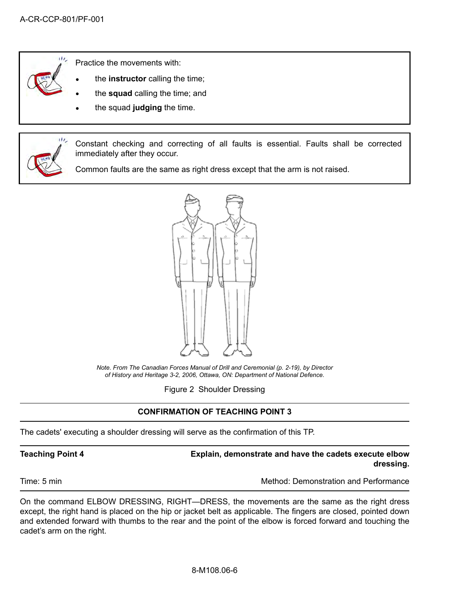

- Practice the movements with:
	- the **instructor** calling the time;
- the **squad** calling the time; and
- the squad **judging** the time.



Constant checking and correcting of all faults is essential. Faults shall be corrected immediately after they occur.

Common faults are the same as right dress except that the arm is not raised.



*Note. From The Canadian Forces Manual of Drill and Ceremonial (p. 2-19), by Director of History and Heritage 3-2, 2006, Ottawa, ON: Department of National Defence.*

Figure 2 Shoulder Dressing

# **CONFIRMATION OF TEACHING POINT 3**

The cadets' executing a shoulder dressing will serve as the confirmation of this TP.

# **Teaching Point 4 Explain, demonstrate and have the cadets execute elbow dressing.**

Time: 5 min Method: Demonstration and Performance

On the command ELBOW DRESSING, RIGHT—DRESS, the movements are the same as the right dress except, the right hand is placed on the hip or jacket belt as applicable. The fingers are closed, pointed down and extended forward with thumbs to the rear and the point of the elbow is forced forward and touching the cadet's arm on the right.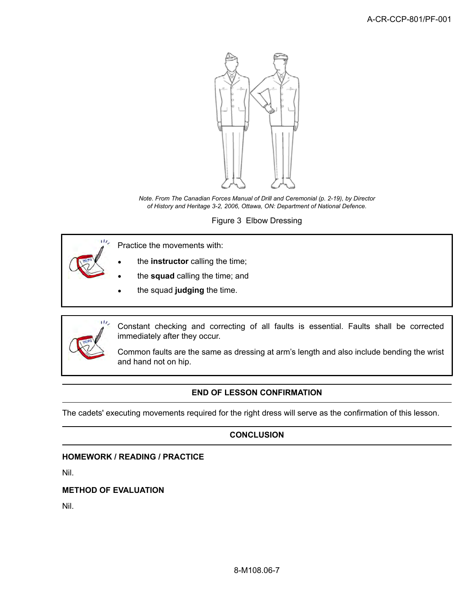

*Note. From The Canadian Forces Manual of Drill and Ceremonial (p. 2-19), by Director of History and Heritage 3-2, 2006, Ottawa, ON: Department of National Defence.*

# Figure 3 Elbow Dressing

Practice the movements with:

- the **instructor** calling the time;
- the **squad** calling the time; and
- the squad **judging** the time.



ŵ,

Constant checking and correcting of all faults is essential. Faults shall be corrected immediately after they occur.

Common faults are the same as dressing at arm's length and also include bending the wrist and hand not on hip.

# **END OF LESSON CONFIRMATION**

The cadets' executing movements required for the right dress will serve as the confirmation of this lesson.

# **CONCLUSION**

# **HOMEWORK / READING / PRACTICE**

Nil.

# **METHOD OF EVALUATION**

Nil.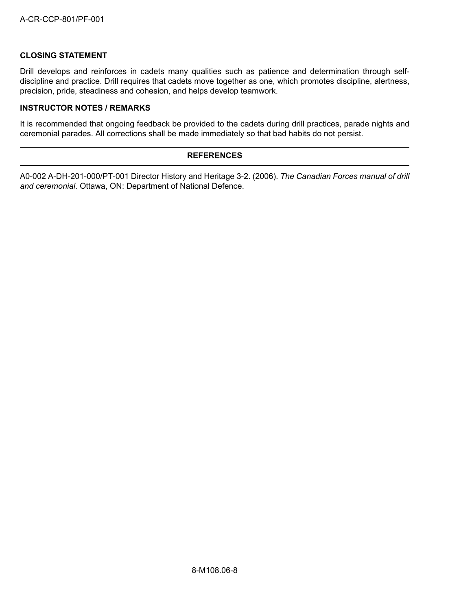#### **CLOSING STATEMENT**

Drill develops and reinforces in cadets many qualities such as patience and determination through selfdiscipline and practice. Drill requires that cadets move together as one, which promotes discipline, alertness, precision, pride, steadiness and cohesion, and helps develop teamwork.

#### **INSTRUCTOR NOTES / REMARKS**

It is recommended that ongoing feedback be provided to the cadets during drill practices, parade nights and ceremonial parades. All corrections shall be made immediately so that bad habits do not persist.

# **REFERENCES**

A0-002 A-DH-201-000/PT-001 Director History and Heritage 3-2. (2006). *The Canadian Forces manual of drill and ceremonial*. Ottawa, ON: Department of National Defence.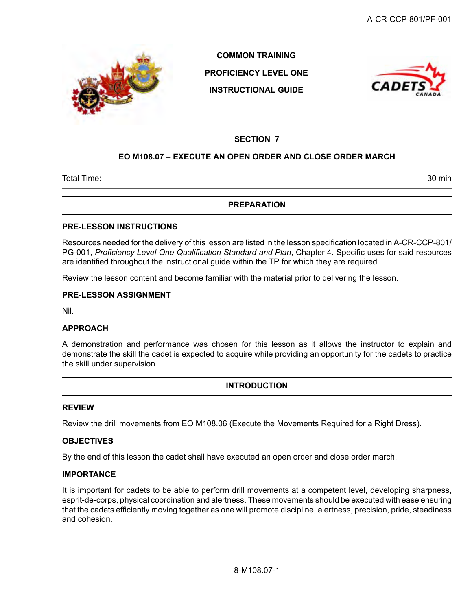

**COMMON TRAINING**

**PROFICIENCY LEVEL ONE**

**INSTRUCTIONAL GUIDE**



# **SECTION 7**

# **EO M108.07 – EXECUTE AN OPEN ORDER AND CLOSE ORDER MARCH**

Total Time: 30 min

# **PREPARATION**

#### **PRE-LESSON INSTRUCTIONS**

Resources needed for the delivery of this lesson are listed in the lesson specification located in A-CR-CCP-801/ PG-001, *Proficiency Level One Qualification Standard and Plan*, Chapter 4. Specific uses for said resources are identified throughout the instructional guide within the TP for which they are required.

Review the lesson content and become familiar with the material prior to delivering the lesson.

#### **PRE-LESSON ASSIGNMENT**

Nil.

# **APPROACH**

A demonstration and performance was chosen for this lesson as it allows the instructor to explain and demonstrate the skill the cadet is expected to acquire while providing an opportunity for the cadets to practice the skill under supervision.

# **INTRODUCTION**

#### **REVIEW**

Review the drill movements from EO M108.06 (Execute the Movements Required for a Right Dress).

# **OBJECTIVES**

By the end of this lesson the cadet shall have executed an open order and close order march.

#### **IMPORTANCE**

It is important for cadets to be able to perform drill movements at a competent level, developing sharpness, esprit-de-corps, physical coordination and alertness. These movements should be executed with ease ensuring that the cadets efficiently moving together as one will promote discipline, alertness, precision, pride, steadiness and cohesion.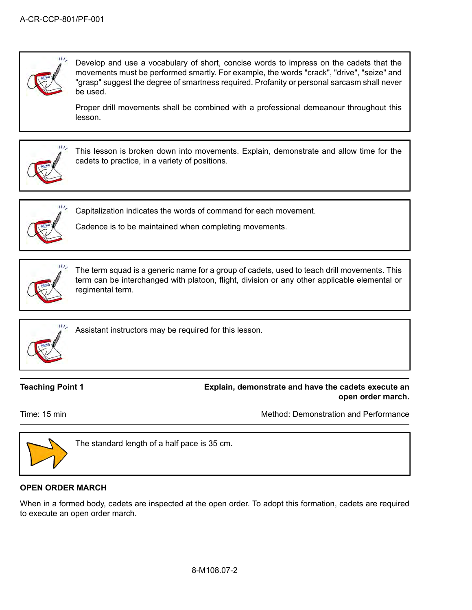

Develop and use a vocabulary of short, concise words to impress on the cadets that the movements must be performed smartly. For example, the words "crack", "drive", "seize" and "grasp" suggest the degree of smartness required. Profanity or personal sarcasm shall never be used.

Proper drill movements shall be combined with a professional demeanour throughout this lesson.



This lesson is broken down into movements. Explain, demonstrate and allow time for the cadets to practice, in a variety of positions.



Capitalization indicates the words of command for each movement.

Cadence is to be maintained when completing movements.



The term squad is a generic name for a group of cadets, used to teach drill movements. This term can be interchanged with platoon, flight, division or any other applicable elemental or regimental term.



Assistant instructors may be required for this lesson.

**Teaching Point 1 Explain, demonstrate and have the cadets execute an open order march.**

Time: 15 min Method: Demonstration and Performance



The standard length of a half pace is 35 cm.

# **OPEN ORDER MARCH**

When in a formed body, cadets are inspected at the open order. To adopt this formation, cadets are required to execute an open order march.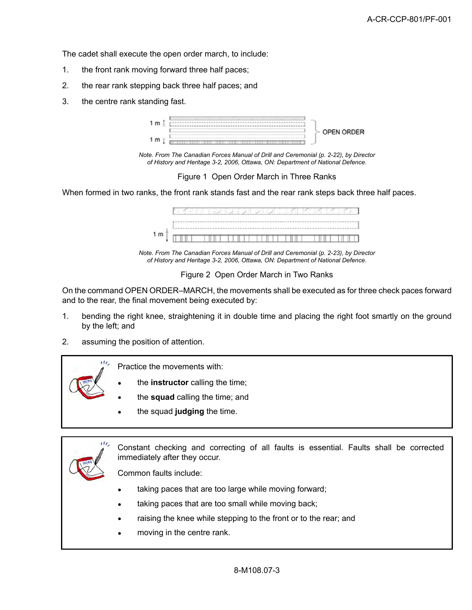The cadet shall execute the open order march, to include:

- 1. the front rank moving forward three half paces;
- 2. the rear rank stepping back three half paces; and
- 3. the centre rank standing fast.



*Note. From The Canadian Forces Manual of Drill and Ceremonial (p. 2-22), by Director of History and Heritage 3-2, 2006, Ottawa, ON: Department of National Defence.*

Figure 1 Open Order March in Three Ranks

When formed in two ranks, the front rank stands fast and the rear rank steps back three half paces.

| --<br>-- |  |  |
|----------|--|--|
|          |  |  |

*Note. From The Canadian Forces Manual of Drill and Ceremonial (p. 2-23), by Director of History and Heritage 3-2, 2006, Ottawa, ON: Department of National Defence.*

Figure 2 Open Order March in Two Ranks

On the command OPEN ORDER–MARCH, the movements shall be executed as for three check paces forward and to the rear, the final movement being executed by:

- 1. bending the right knee, straightening it in double time and placing the right foot smartly on the ground by the left; and
- 2. assuming the position of attention.

•

Hz.

•

Practice the movements with:

- the **instructor** calling the time;
- the **squad** calling the time; and
- the squad **judging** the time.



Constant checking and correcting of all faults is essential. Faults shall be corrected immediately after they occur.

Common faults include:

- taking paces that are too large while moving forward;
- taking paces that are too small while moving back;
- raising the knee while stepping to the front or to the rear; and
- moving in the centre rank.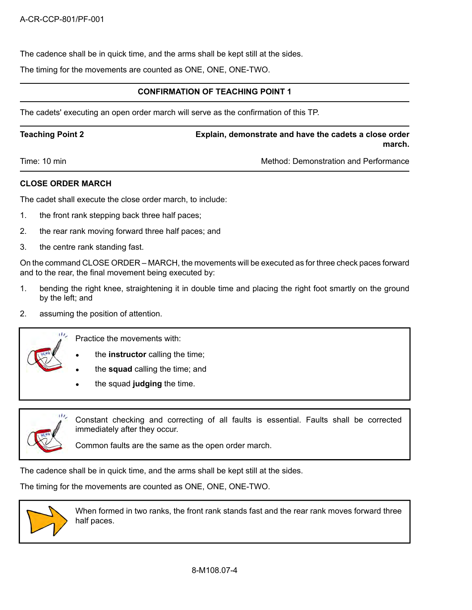The cadence shall be in quick time, and the arms shall be kept still at the sides.

The timing for the movements are counted as ONE, ONE, ONE-TWO.

# **CONFIRMATION OF TEACHING POINT 1**

The cadets' executing an open order march will serve as the confirmation of this TP.

# **Teaching Point 2 Explain, demonstrate and have the cadets a close order march.**

Time: 10 min Method: Demonstration and Performance

# **CLOSE ORDER MARCH**

The cadet shall execute the close order march, to include:

- 1. the front rank stepping back three half paces;
- 2. the rear rank moving forward three half paces; and
- 3. the centre rank standing fast.

On the command CLOSE ORDER – MARCH, the movements will be executed as for three check paces forward and to the rear, the final movement being executed by:

- 1. bending the right knee, straightening it in double time and placing the right foot smartly on the ground by the left; and
- 2. assuming the position of attention.

•

 $117$ 

•

Practice the movements with:

- the **instructor** calling the time;
- the **squad** calling the time; and
- the squad **judging** the time.



Constant checking and correcting of all faults is essential. Faults shall be corrected immediately after they occur.

Common faults are the same as the open order march.

The cadence shall be in quick time, and the arms shall be kept still at the sides.

The timing for the movements are counted as ONE, ONE, ONE-TWO.



When formed in two ranks, the front rank stands fast and the rear rank moves forward three half paces.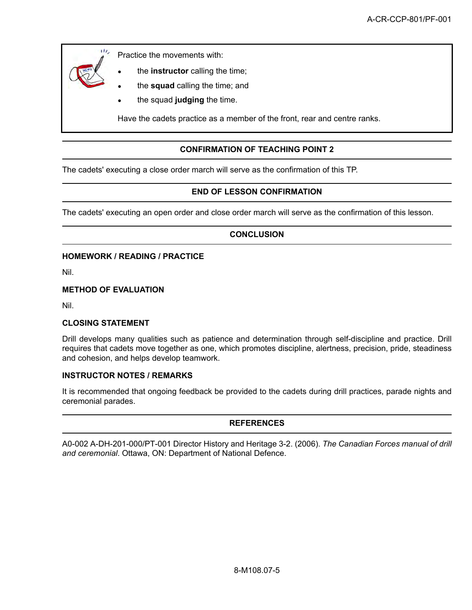ŵ. Practice the movements with:

- the **instructor** calling the time;
- the **squad** calling the time; and
- the squad **judging** the time.

Have the cadets practice as a member of the front, rear and centre ranks.

# **CONFIRMATION OF TEACHING POINT 2**

The cadets' executing a close order march will serve as the confirmation of this TP.

#### **END OF LESSON CONFIRMATION**

The cadets' executing an open order and close order march will serve as the confirmation of this lesson.

# **CONCLUSION**

#### **HOMEWORK / READING / PRACTICE**

Nil.

#### **METHOD OF EVALUATION**

Nil.

#### **CLOSING STATEMENT**

Drill develops many qualities such as patience and determination through self-discipline and practice. Drill requires that cadets move together as one, which promotes discipline, alertness, precision, pride, steadiness and cohesion, and helps develop teamwork.

#### **INSTRUCTOR NOTES / REMARKS**

It is recommended that ongoing feedback be provided to the cadets during drill practices, parade nights and ceremonial parades.

# **REFERENCES**

A0-002 A-DH-201-000/PT-001 Director History and Heritage 3-2. (2006). *The Canadian Forces manual of drill and ceremonial*. Ottawa, ON: Department of National Defence.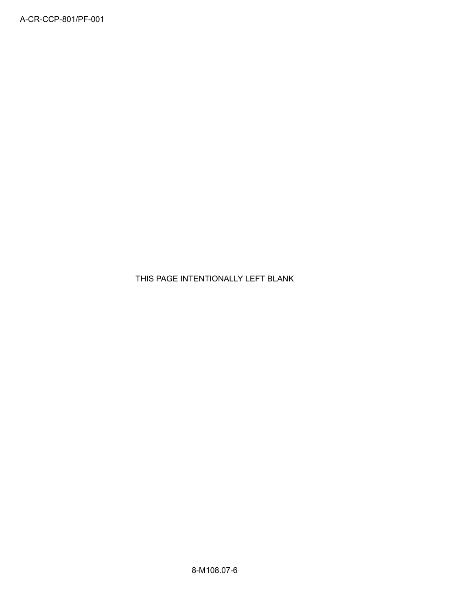THIS PAGE INTENTIONALLY LEFT BLANK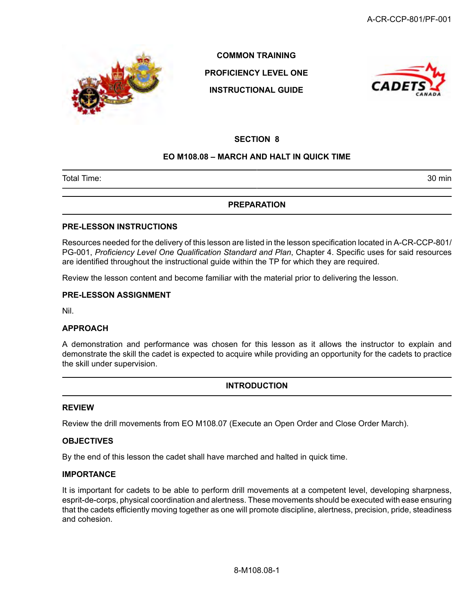

**COMMON TRAINING**

**PROFICIENCY LEVEL ONE**

**INSTRUCTIONAL GUIDE**



#### **SECTION 8**

#### **EO M108.08 – MARCH AND HALT IN QUICK TIME**

Total Time: 30 min

# **PREPARATION**

#### **PRE-LESSON INSTRUCTIONS**

Resources needed for the delivery of this lesson are listed in the lesson specification located in A-CR-CCP-801/ PG-001, *Proficiency Level One Qualification Standard and Plan*, Chapter 4. Specific uses for said resources are identified throughout the instructional guide within the TP for which they are required.

Review the lesson content and become familiar with the material prior to delivering the lesson.

#### **PRE-LESSON ASSIGNMENT**

Nil.

#### **APPROACH**

A demonstration and performance was chosen for this lesson as it allows the instructor to explain and demonstrate the skill the cadet is expected to acquire while providing an opportunity for the cadets to practice the skill under supervision.

# **INTRODUCTION**

#### **REVIEW**

Review the drill movements from EO M108.07 (Execute an Open Order and Close Order March).

#### **OBJECTIVES**

By the end of this lesson the cadet shall have marched and halted in quick time.

#### **IMPORTANCE**

It is important for cadets to be able to perform drill movements at a competent level, developing sharpness, esprit-de-corps, physical coordination and alertness. These movements should be executed with ease ensuring that the cadets efficiently moving together as one will promote discipline, alertness, precision, pride, steadiness and cohesion.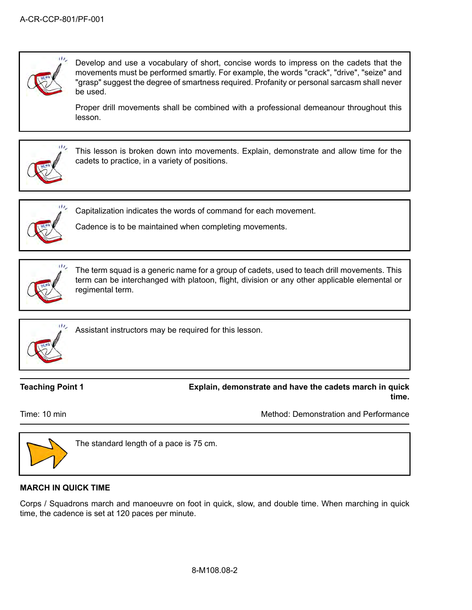

Develop and use a vocabulary of short, concise words to impress on the cadets that the movements must be performed smartly. For example, the words "crack", "drive", "seize" and "grasp" suggest the degree of smartness required. Profanity or personal sarcasm shall never be used.

Proper drill movements shall be combined with a professional demeanour throughout this lesson.



This lesson is broken down into movements. Explain, demonstrate and allow time for the cadets to practice, in a variety of positions.



Capitalization indicates the words of command for each movement.

Cadence is to be maintained when completing movements.



The term squad is a generic name for a group of cadets, used to teach drill movements. This term can be interchanged with platoon, flight, division or any other applicable elemental or regimental term.



Assistant instructors may be required for this lesson.

**Teaching Point 1 Explain, demonstrate and have the cadets march in quick time.**

Time: 10 min Method: Demonstration and Performance



The standard length of a pace is 75 cm.

# **MARCH IN QUICK TIME**

Corps / Squadrons march and manoeuvre on foot in quick, slow, and double time. When marching in quick time, the cadence is set at 120 paces per minute.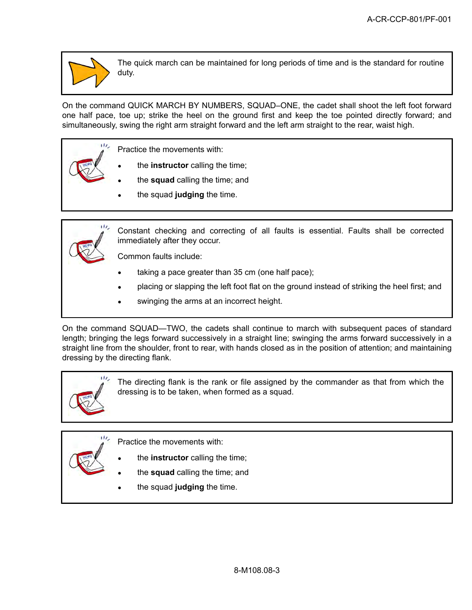

The quick march can be maintained for long periods of time and is the standard for routine duty.

On the command QUICK MARCH BY NUMBERS, SQUAD–ONE, the cadet shall shoot the left foot forward one half pace, toe up; strike the heel on the ground first and keep the toe pointed directly forward; and simultaneously, swing the right arm straight forward and the left arm straight to the rear, waist high.

w Practice the movements with:

- the **instructor** calling the time;
- the **squad** calling the time; and
- the squad **judging** the time.



•

Constant checking and correcting of all faults is essential. Faults shall be corrected immediately after they occur.

Common faults include:

- taking a pace greater than 35 cm (one half pace);
- placing or slapping the left foot flat on the ground instead of striking the heel first; and
- swinging the arms at an incorrect height.

On the command SQUAD—TWO, the cadets shall continue to march with subsequent paces of standard length; bringing the legs forward successively in a straight line; swinging the arms forward successively in a straight line from the shoulder, front to rear, with hands closed as in the position of attention; and maintaining dressing by the directing flank.



The directing flank is the rank or file assigned by the commander as that from which the dressing is to be taken, when formed as a squad.

Practice the movements with:

- the **instructor** calling the time;
- the **squad** calling the time; and
- the squad **judging** the time.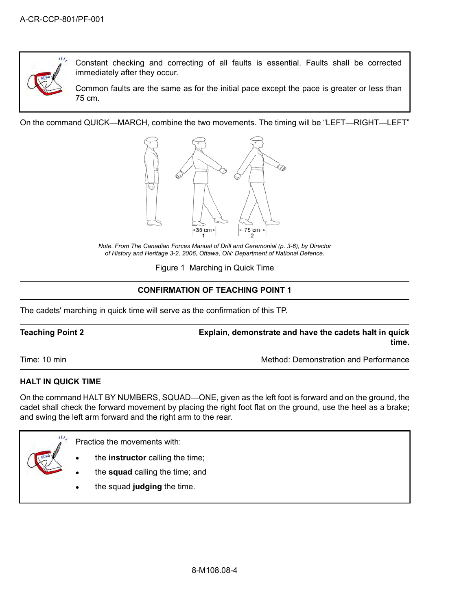

Constant checking and correcting of all faults is essential. Faults shall be corrected immediately after they occur.

Common faults are the same as for the initial pace except the pace is greater or less than 75 cm.

On the command QUICK—MARCH, combine the two movements. The timing will be "LEFT—RIGHT—LEFT"



*Note. From The Canadian Forces Manual of Drill and Ceremonial (p. 3-6), by Director of History and Heritage 3-2, 2006, Ottawa, ON: Department of National Defence.*

Figure 1 Marching in Quick Time

# **CONFIRMATION OF TEACHING POINT 1**

The cadets' marching in quick time will serve as the confirmation of this TP.

**Teaching Point 2 Explain, demonstrate and have the cadets halt in quick time.**

Time: 10 min Method: Demonstration and Performance

#### **HALT IN QUICK TIME**

١IJ.

•

On the command HALT BY NUMBERS, SQUAD—ONE, given as the left foot is forward and on the ground, the cadet shall check the forward movement by placing the right foot flat on the ground, use the heel as a brake; and swing the left arm forward and the right arm to the rear.

Practice the movements with:

- the **instructor** calling the time;
- the **squad** calling the time; and
- the squad **judging** the time.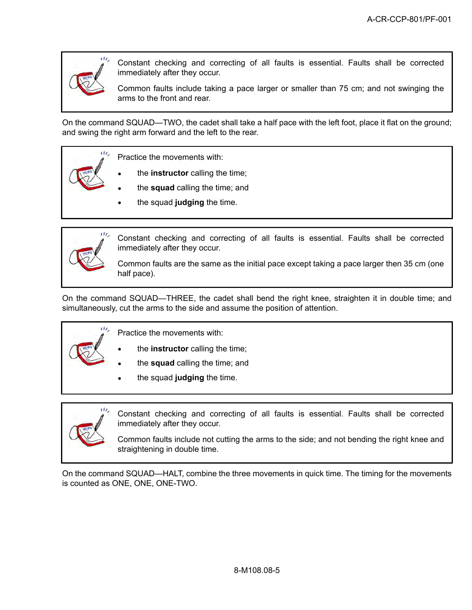

uz.

Constant checking and correcting of all faults is essential. Faults shall be corrected immediately after they occur.

Common faults include taking a pace larger or smaller than 75 cm; and not swinging the arms to the front and rear.

On the command SQUAD—TWO, the cadet shall take a half pace with the left foot, place it flat on the ground; and swing the right arm forward and the left to the rear.

Practice the movements with:

- the **instructor** calling the time;
- the **squad** calling the time; and
- the squad **judging** the time.



Constant checking and correcting of all faults is essential. Faults shall be corrected immediately after they occur.

Common faults are the same as the initial pace except taking a pace larger then 35 cm (one half pace).

On the command SQUAD—THREE, the cadet shall bend the right knee, straighten it in double time; and simultaneously, cut the arms to the side and assume the position of attention.



Practice the movements with:

- the **instructor** calling the time;
- the **squad** calling the time; and
- the squad **judging** the time.



Constant checking and correcting of all faults is essential. Faults shall be corrected immediately after they occur.

Common faults include not cutting the arms to the side; and not bending the right knee and straightening in double time.

On the command SQUAD—HALT, combine the three movements in quick time. The timing for the movements is counted as ONE, ONE, ONE-TWO.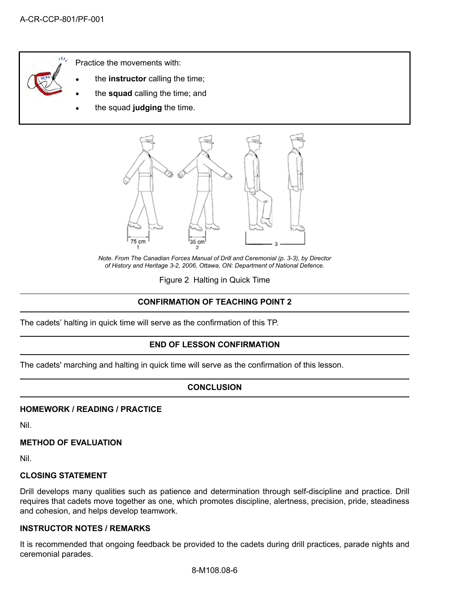•



- Practice the movements with:
	- the **instructor** calling the time;
- the **squad** calling the time; and
- the squad **judging** the time.



*Note. From The Canadian Forces Manual of Drill and Ceremonial (p. 3-3), by Director of History and Heritage 3-2, 2006, Ottawa, ON: Department of National Defence.*

Figure 2 Halting in Quick Time

# **CONFIRMATION OF TEACHING POINT 2**

The cadets' halting in quick time will serve as the confirmation of this TP.

# **END OF LESSON CONFIRMATION**

The cadets' marching and halting in quick time will serve as the confirmation of this lesson.

# **CONCLUSION**

# **HOMEWORK / READING / PRACTICE**

Nil.

# **METHOD OF EVALUATION**

Nil.

# **CLOSING STATEMENT**

Drill develops many qualities such as patience and determination through self-discipline and practice. Drill requires that cadets move together as one, which promotes discipline, alertness, precision, pride, steadiness and cohesion, and helps develop teamwork.

# **INSTRUCTOR NOTES / REMARKS**

It is recommended that ongoing feedback be provided to the cadets during drill practices, parade nights and ceremonial parades.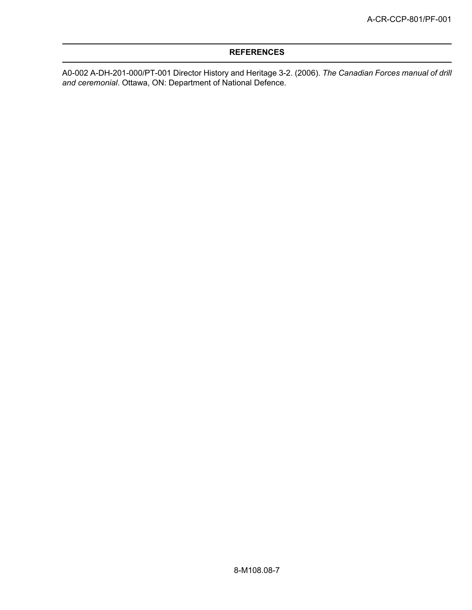# **REFERENCES**

A0-002 A-DH-201-000/PT-001 Director History and Heritage 3-2. (2006). *The Canadian Forces manual of drill and ceremonial*. Ottawa, ON: Department of National Defence.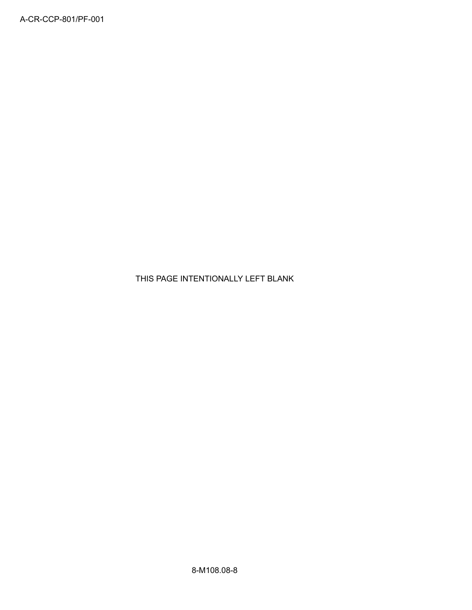THIS PAGE INTENTIONALLY LEFT BLANK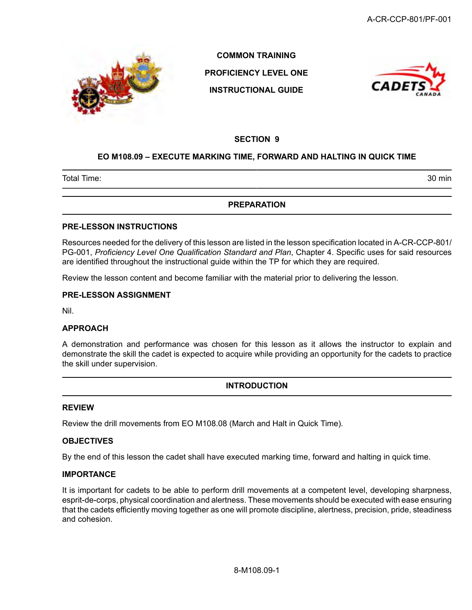

**COMMON TRAINING**

**PROFICIENCY LEVEL ONE**

**INSTRUCTIONAL GUIDE**



#### **SECTION 9**

# **EO M108.09 – EXECUTE MARKING TIME, FORWARD AND HALTING IN QUICK TIME**

Total Time: 30 min

# **PREPARATION**

#### **PRE-LESSON INSTRUCTIONS**

Resources needed for the delivery of this lesson are listed in the lesson specification located in A-CR-CCP-801/ PG-001, *Proficiency Level One Qualification Standard and Plan*, Chapter 4. Specific uses for said resources are identified throughout the instructional guide within the TP for which they are required.

Review the lesson content and become familiar with the material prior to delivering the lesson.

#### **PRE-LESSON ASSIGNMENT**

Nil.

#### **APPROACH**

A demonstration and performance was chosen for this lesson as it allows the instructor to explain and demonstrate the skill the cadet is expected to acquire while providing an opportunity for the cadets to practice the skill under supervision.

# **INTRODUCTION**

#### **REVIEW**

Review the drill movements from EO M108.08 (March and Halt in Quick Time).

#### **OBJECTIVES**

By the end of this lesson the cadet shall have executed marking time, forward and halting in quick time.

#### **IMPORTANCE**

It is important for cadets to be able to perform drill movements at a competent level, developing sharpness, esprit-de-corps, physical coordination and alertness. These movements should be executed with ease ensuring that the cadets efficiently moving together as one will promote discipline, alertness, precision, pride, steadiness and cohesion.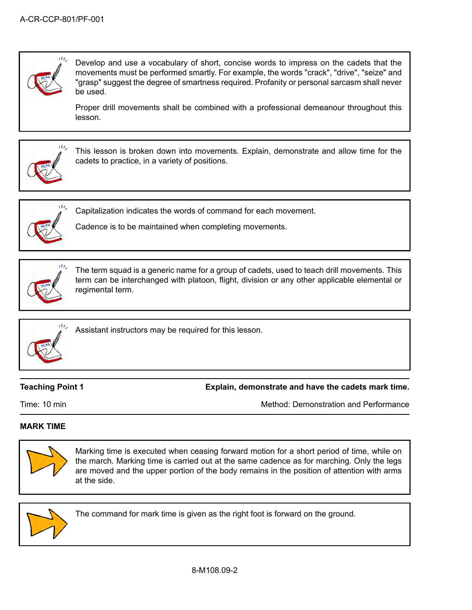

Develop and use a vocabulary of short, concise words to impress on the cadets that the movements must be performed smartly. For example, the words "crack", "drive", "seize" and "grasp" suggest the degree of smartness required. Profanity or personal sarcasm shall never be used.

Proper drill movements shall be combined with a professional demeanour throughout this lesson.



This lesson is broken down into movements. Explain, demonstrate and allow time for the cadets to practice, in a variety of positions.



Capitalization indicates the words of command for each movement.

Cadence is to be maintained when completing movements.



The term squad is a generic name for a group of cadets, used to teach drill movements. This term can be interchanged with platoon, flight, division or any other applicable elemental or regimental term.



Assistant instructors may be required for this lesson.

**Teaching Point 1 Explain, demonstrate and have the cadets mark time.**

Time: 10 min Method: Demonstration and Performance

# **MARK TIME**



Marking time is executed when ceasing forward motion for a short period of time, while on the march. Marking time is carried out at the same cadence as for marching. Only the legs are moved and the upper portion of the body remains in the position of attention with arms at the side.



The command for mark time is given as the right foot is forward on the ground.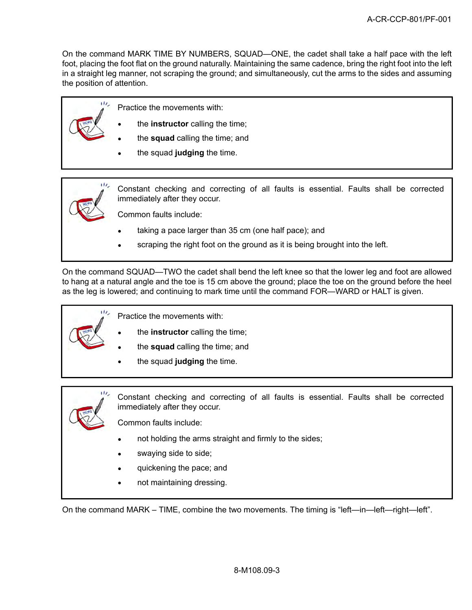On the command MARK TIME BY NUMBERS, SQUAD—ONE, the cadet shall take a half pace with the left foot, placing the foot flat on the ground naturally. Maintaining the same cadence, bring the right foot into the left in a straight leg manner, not scraping the ground; and simultaneously, cut the arms to the sides and assuming the position of attention.

- u. Practice the movements with:
	- the **instructor** calling the time;
		- the **squad** calling the time; and
	- the squad **judging** the time.

Constant checking and correcting of all faults is essential. Faults shall be corrected immediately after they occur.

Common faults include:

•

w

•

•

 $112.$ 

•

•

- taking a pace larger than 35 cm (one half pace); and
- scraping the right foot on the ground as it is being brought into the left.

On the command SQUAD—TWO the cadet shall bend the left knee so that the lower leg and foot are allowed to hang at a natural angle and the toe is 15 cm above the ground; place the toe on the ground before the heel as the leg is lowered; and continuing to mark time until the command FOR—WARD or HALT is given.

Practice the movements with:

- the **instructor** calling the time;
- the **squad** calling the time; and
- the squad **judging** the time.



Constant checking and correcting of all faults is essential. Faults shall be corrected immediately after they occur.

Common faults include:

- not holding the arms straight and firmly to the sides;
- swaying side to side;
- quickening the pace; and
- not maintaining dressing.

On the command MARK – TIME, combine the two movements. The timing is "left—in—left—right—left".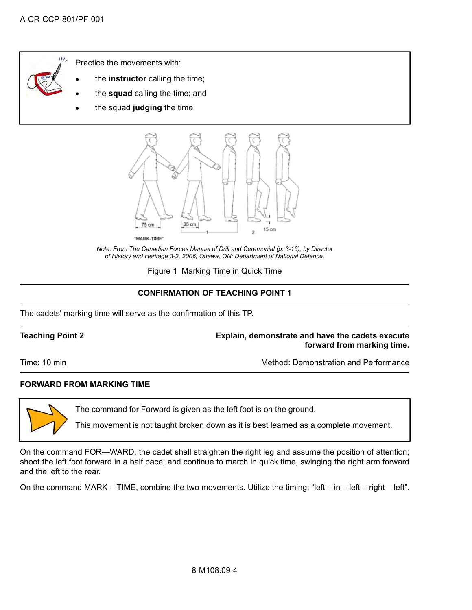•



- Practice the movements with:
	- the **instructor** calling the time;
- the **squad** calling the time; and
- the squad **judging** the time.



*Note. From The Canadian Forces Manual of Drill and Ceremonial (p. 3-16), by Director of History and Heritage 3-2, 2006, Ottawa, ON: Department of National Defence.*

Figure 1 Marking Time in Quick Time

# **CONFIRMATION OF TEACHING POINT 1**

The cadets' marking time will serve as the confirmation of this TP.

# **Teaching Point 2 Explain, demonstrate and have the cadets execute forward from marking time.**

Time: 10 min Method: Demonstration and Performance

# **FORWARD FROM MARKING TIME**

The command for Forward is given as the left foot is on the ground.

This movement is not taught broken down as it is best learned as a complete movement.

On the command FOR—WARD, the cadet shall straighten the right leg and assume the position of attention; shoot the left foot forward in a half pace; and continue to march in quick time, swinging the right arm forward and the left to the rear.

On the command MARK – TIME, combine the two movements. Utilize the timing: "left – in – left – right – left".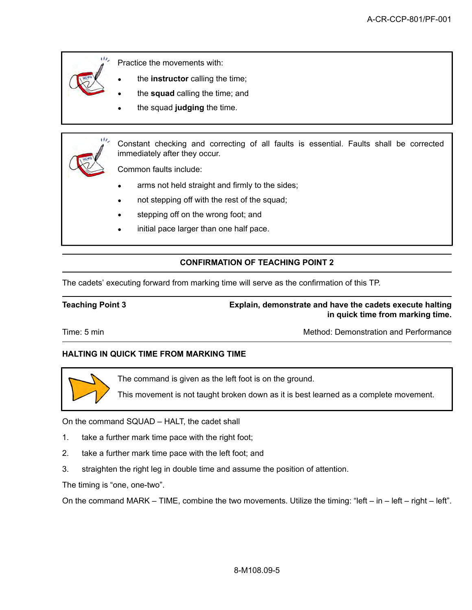Practice the movements with:

- the **instructor** calling the time;
- the **squad** calling the time; and
- the squad **judging** the time.



uz.

Constant checking and correcting of all faults is essential. Faults shall be corrected immediately after they occur.

Common faults include:

- arms not held straight and firmly to the sides;
- not stepping off with the rest of the squad;
- stepping off on the wrong foot; and
- initial pace larger than one half pace.

# **CONFIRMATION OF TEACHING POINT 2**

The cadets' executing forward from marking time will serve as the confirmation of this TP.

**Teaching Point 3 Explain, demonstrate and have the cadets execute halting in quick time from marking time.**

Time: 5 min Method: Demonstration and Performance

# **HALTING IN QUICK TIME FROM MARKING TIME**



The command is given as the left foot is on the ground.

This movement is not taught broken down as it is best learned as a complete movement.

On the command SQUAD – HALT, the cadet shall

- 1. take a further mark time pace with the right foot;
- 2. take a further mark time pace with the left foot; and
- 3. straighten the right leg in double time and assume the position of attention.

The timing is "one, one-two".

On the command MARK – TIME, combine the two movements. Utilize the timing: "left – in – left – right – left".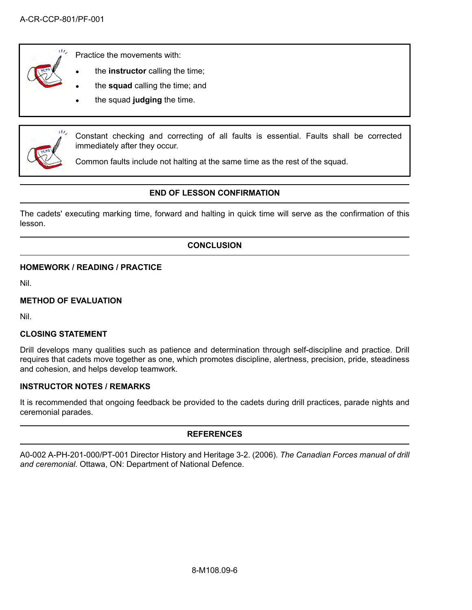$117.$ 

Practice the movements with:

- the **instructor** calling the time;
- the **squad** calling the time; and
- the squad **judging** the time.



Constant checking and correcting of all faults is essential. Faults shall be corrected immediately after they occur.

Common faults include not halting at the same time as the rest of the squad.

# **END OF LESSON CONFIRMATION**

The cadets' executing marking time, forward and halting in quick time will serve as the confirmation of this lesson.

# **CONCLUSION**

# **HOMEWORK / READING / PRACTICE**

Nil.

# **METHOD OF EVALUATION**

Nil.

# **CLOSING STATEMENT**

Drill develops many qualities such as patience and determination through self-discipline and practice. Drill requires that cadets move together as one, which promotes discipline, alertness, precision, pride, steadiness and cohesion, and helps develop teamwork.

# **INSTRUCTOR NOTES / REMARKS**

It is recommended that ongoing feedback be provided to the cadets during drill practices, parade nights and ceremonial parades.

# **REFERENCES**

A0-002 A-PH-201-000/PT-001 Director History and Heritage 3-2. (2006). *The Canadian Forces manual of drill and ceremonial*. Ottawa, ON: Department of National Defence.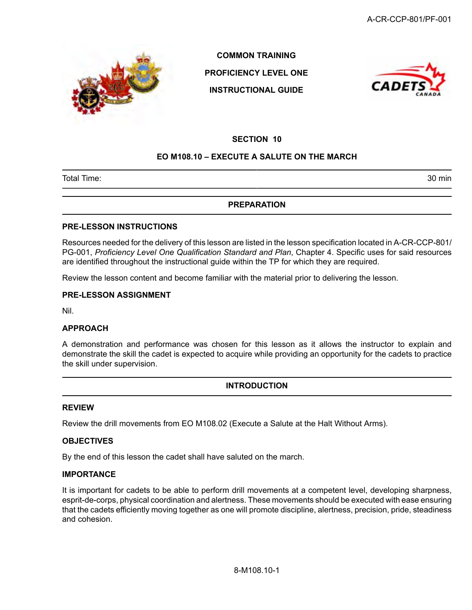

**COMMON TRAINING**

**PROFICIENCY LEVEL ONE**

**INSTRUCTIONAL GUIDE**



#### **SECTION 10**

#### **EO M108.10 – EXECUTE A SALUTE ON THE MARCH**

Total Time: 30 min

# **PREPARATION**

#### **PRE-LESSON INSTRUCTIONS**

Resources needed for the delivery of this lesson are listed in the lesson specification located in A-CR-CCP-801/ PG-001, *Proficiency Level One Qualification Standard and Plan*, Chapter 4. Specific uses for said resources are identified throughout the instructional guide within the TP for which they are required.

Review the lesson content and become familiar with the material prior to delivering the lesson.

#### **PRE-LESSON ASSIGNMENT**

Nil.

#### **APPROACH**

A demonstration and performance was chosen for this lesson as it allows the instructor to explain and demonstrate the skill the cadet is expected to acquire while providing an opportunity for the cadets to practice the skill under supervision.

# **INTRODUCTION**

#### **REVIEW**

Review the drill movements from EO M108.02 (Execute a Salute at the Halt Without Arms).

#### **OBJECTIVES**

By the end of this lesson the cadet shall have saluted on the march.

#### **IMPORTANCE**

It is important for cadets to be able to perform drill movements at a competent level, developing sharpness, esprit-de-corps, physical coordination and alertness. These movements should be executed with ease ensuring that the cadets efficiently moving together as one will promote discipline, alertness, precision, pride, steadiness and cohesion.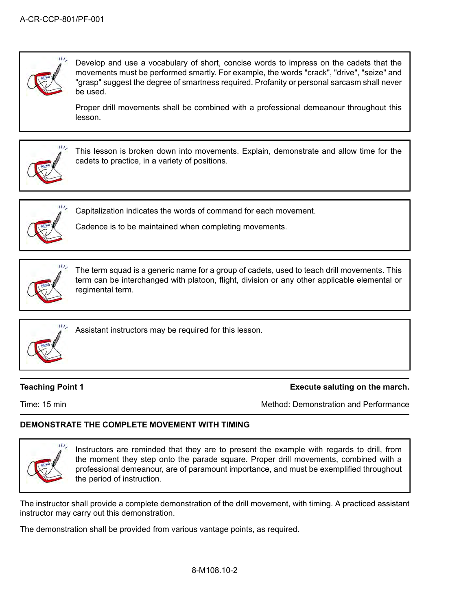

Develop and use a vocabulary of short, concise words to impress on the cadets that the movements must be performed smartly. For example, the words "crack", "drive", "seize" and "grasp" suggest the degree of smartness required. Profanity or personal sarcasm shall never be used.

Proper drill movements shall be combined with a professional demeanour throughout this lesson.



This lesson is broken down into movements. Explain, demonstrate and allow time for the cadets to practice, in a variety of positions.



Capitalization indicates the words of command for each movement.

Cadence is to be maintained when completing movements.



The term squad is a generic name for a group of cadets, used to teach drill movements. This term can be interchanged with platoon, flight, division or any other applicable elemental or regimental term.



Assistant instructors may be required for this lesson.

**Teaching Point 1 Execute saluting on the march.**

Time: 15 min Method: Demonstration and Performance

# **DEMONSTRATE THE COMPLETE MOVEMENT WITH TIMING**



Instructors are reminded that they are to present the example with regards to drill, from the moment they step onto the parade square. Proper drill movements, combined with a professional demeanour, are of paramount importance, and must be exemplified throughout the period of instruction.

The instructor shall provide a complete demonstration of the drill movement, with timing. A practiced assistant instructor may carry out this demonstration.

The demonstration shall be provided from various vantage points, as required.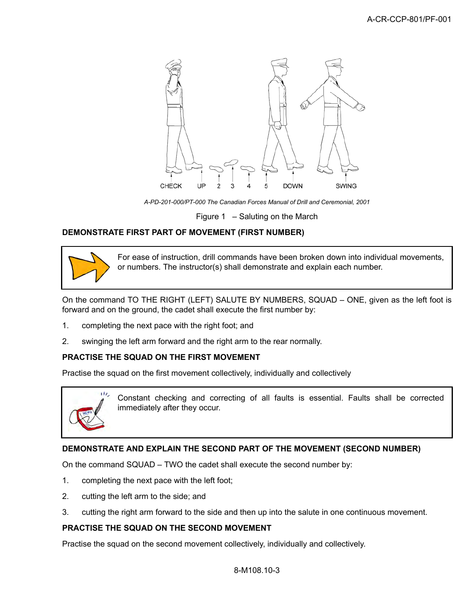

*A-PD-201-000/PT-000 The Canadian Forces Manual of Drill and Ceremonial, 2001*

Figure 1 – Saluting on the March

# **DEMONSTRATE FIRST PART OF MOVEMENT (FIRST NUMBER)**



For ease of instruction, drill commands have been broken down into individual movements, or numbers. The instructor(s) shall demonstrate and explain each number.

On the command TO THE RIGHT (LEFT) SALUTE BY NUMBERS, SQUAD – ONE, given as the left foot is forward and on the ground, the cadet shall execute the first number by:

- 1. completing the next pace with the right foot; and
- 2. swinging the left arm forward and the right arm to the rear normally.

# **PRACTISE THE SQUAD ON THE FIRST MOVEMENT**

Practise the squad on the first movement collectively, individually and collectively



Constant checking and correcting of all faults is essential. Faults shall be corrected immediately after they occur.

# **DEMONSTRATE AND EXPLAIN THE SECOND PART OF THE MOVEMENT (SECOND NUMBER)**

On the command SQUAD – TWO the cadet shall execute the second number by:

- 1. completing the next pace with the left foot;
- 2. cutting the left arm to the side; and
- 3. cutting the right arm forward to the side and then up into the salute in one continuous movement.

# **PRACTISE THE SQUAD ON THE SECOND MOVEMENT**

Practise the squad on the second movement collectively, individually and collectively.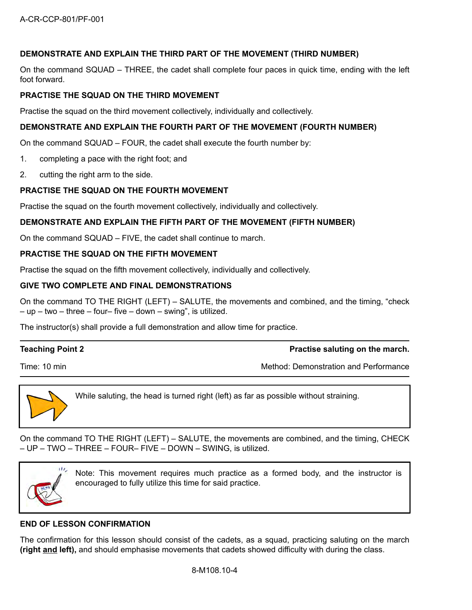# **DEMONSTRATE AND EXPLAIN THE THIRD PART OF THE MOVEMENT (THIRD NUMBER)**

On the command SQUAD – THREE, the cadet shall complete four paces in quick time, ending with the left foot forward.

# **PRACTISE THE SQUAD ON THE THIRD MOVEMENT**

Practise the squad on the third movement collectively, individually and collectively.

# **DEMONSTRATE AND EXPLAIN THE FOURTH PART OF THE MOVEMENT (FOURTH NUMBER)**

On the command SQUAD – FOUR, the cadet shall execute the fourth number by:

- 1. completing a pace with the right foot; and
- 2. cutting the right arm to the side.

# **PRACTISE THE SQUAD ON THE FOURTH MOVEMENT**

Practise the squad on the fourth movement collectively, individually and collectively.

# **DEMONSTRATE AND EXPLAIN THE FIFTH PART OF THE MOVEMENT (FIFTH NUMBER)**

On the command SQUAD – FIVE, the cadet shall continue to march.

# **PRACTISE THE SQUAD ON THE FIFTH MOVEMENT**

Practise the squad on the fifth movement collectively, individually and collectively.

# **GIVE TWO COMPLETE AND FINAL DEMONSTRATIONS**

On the command TO THE RIGHT (LEFT) – SALUTE, the movements and combined, and the timing, "check  $-$  up – two – three – four– five – down – swing", is utilized.

The instructor(s) shall provide a full demonstration and allow time for practice.

**Teaching Point 2 Practise saluting on the march.**

Time: 10 min Method: Demonstration and Performance

While saluting, the head is turned right (left) as far as possible without straining.

On the command TO THE RIGHT (LEFT) – SALUTE, the movements are combined, and the timing, CHECK – UP – TWO – THREE – FOUR– FIVE – DOWN – SWING, is utilized.



Note: This movement requires much practice as a formed body, and the instructor is encouraged to fully utilize this time for said practice.

# **END OF LESSON CONFIRMATION**

The confirmation for this lesson should consist of the cadets, as a squad, practicing saluting on the march **(right and left),** and should emphasise movements that cadets showed difficulty with during the class.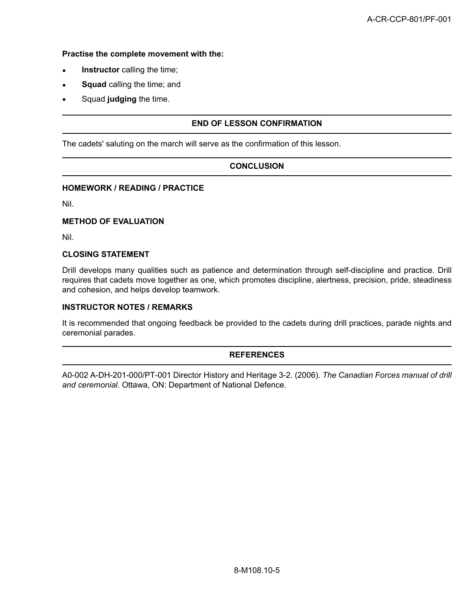#### **Practise the complete movement with the:**

- **Instructor** calling the time;
- **Squad** calling the time; and
- Squad **judging** the time.

# **END OF LESSON CONFIRMATION**

The cadets' saluting on the march will serve as the confirmation of this lesson.

# **CONCLUSION**

#### **HOMEWORK / READING / PRACTICE**

Nil.

#### **METHOD OF EVALUATION**

Nil.

# **CLOSING STATEMENT**

Drill develops many qualities such as patience and determination through self-discipline and practice. Drill requires that cadets move together as one, which promotes discipline, alertness, precision, pride, steadiness and cohesion, and helps develop teamwork.

# **INSTRUCTOR NOTES / REMARKS**

It is recommended that ongoing feedback be provided to the cadets during drill practices, parade nights and ceremonial parades.

# **REFERENCES**

A0-002 A-DH-201-000/PT-001 Director History and Heritage 3-2. (2006). *The Canadian Forces manual of drill and ceremonial*. Ottawa, ON: Department of National Defence.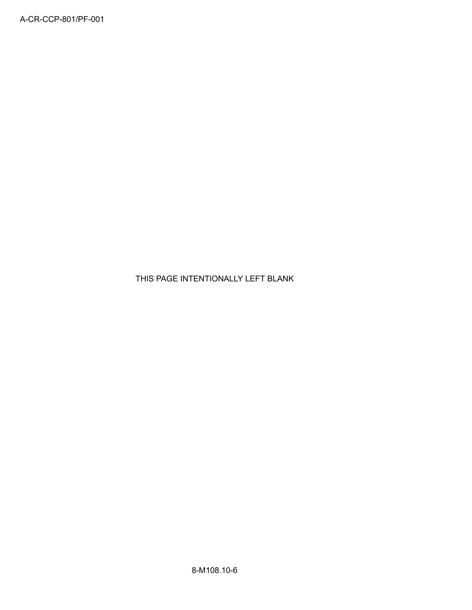THIS PAGE INTENTIONALLY LEFT BLANK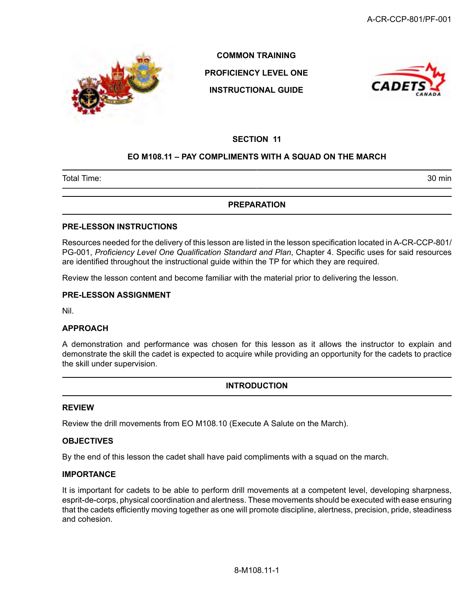

**COMMON TRAINING**

**PROFICIENCY LEVEL ONE**

**INSTRUCTIONAL GUIDE**



## **SECTION 11**

## **EO M108.11 – PAY COMPLIMENTS WITH A SQUAD ON THE MARCH**

Total Time: 30 min

## **PREPARATION**

## **PRE-LESSON INSTRUCTIONS**

Resources needed for the delivery of this lesson are listed in the lesson specification located in A-CR-CCP-801/ PG-001, *Proficiency Level One Qualification Standard and Plan*, Chapter 4. Specific uses for said resources are identified throughout the instructional guide within the TP for which they are required.

Review the lesson content and become familiar with the material prior to delivering the lesson.

#### **PRE-LESSON ASSIGNMENT**

Nil.

#### **APPROACH**

A demonstration and performance was chosen for this lesson as it allows the instructor to explain and demonstrate the skill the cadet is expected to acquire while providing an opportunity for the cadets to practice the skill under supervision.

## **INTRODUCTION**

#### **REVIEW**

Review the drill movements from EO M108.10 (Execute A Salute on the March).

## **OBJECTIVES**

By the end of this lesson the cadet shall have paid compliments with a squad on the march.

## **IMPORTANCE**

It is important for cadets to be able to perform drill movements at a competent level, developing sharpness, esprit-de-corps, physical coordination and alertness. These movements should be executed with ease ensuring that the cadets efficiently moving together as one will promote discipline, alertness, precision, pride, steadiness and cohesion.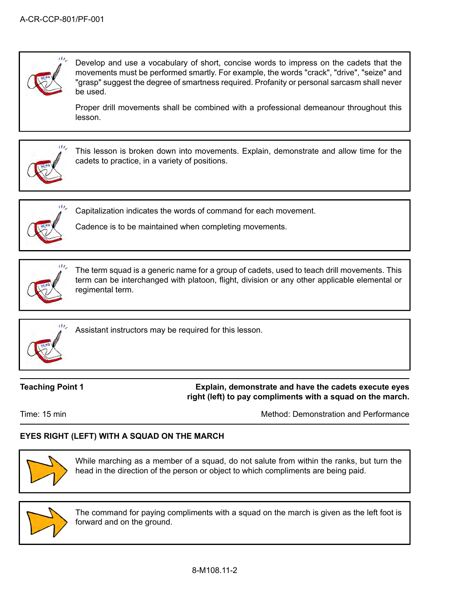

Develop and use a vocabulary of short, concise words to impress on the cadets that the movements must be performed smartly. For example, the words "crack", "drive", "seize" and "grasp" suggest the degree of smartness required. Profanity or personal sarcasm shall never be used.

Proper drill movements shall be combined with a professional demeanour throughout this lesson.



This lesson is broken down into movements. Explain, demonstrate and allow time for the cadets to practice, in a variety of positions.



Capitalization indicates the words of command for each movement.

Cadence is to be maintained when completing movements.



The term squad is a generic name for a group of cadets, used to teach drill movements. This term can be interchanged with platoon, flight, division or any other applicable elemental or regimental term.



Assistant instructors may be required for this lesson.

**Teaching Point 1 Explain, demonstrate and have the cadets execute eyes right (left) to pay compliments with a squad on the march.**

Time: 15 min Method: Demonstration and Performance

# **EYES RIGHT (LEFT) WITH A SQUAD ON THE MARCH**



While marching as a member of a squad, do not salute from within the ranks, but turn the head in the direction of the person or object to which compliments are being paid.



The command for paying compliments with a squad on the march is given as the left foot is forward and on the ground.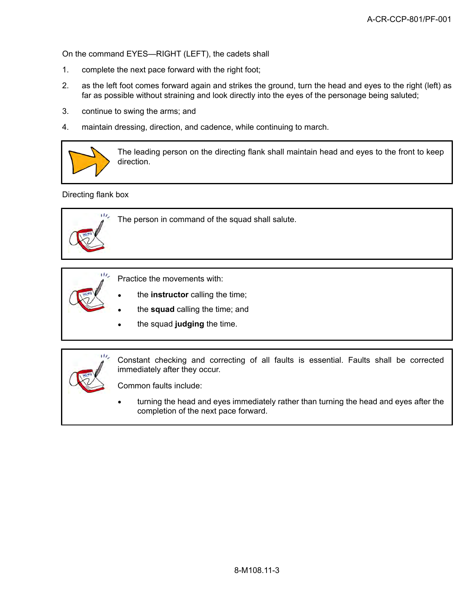On the command EYES—RIGHT (LEFT), the cadets shall

- 1. complete the next pace forward with the right foot;
- 2. as the left foot comes forward again and strikes the ground, turn the head and eyes to the right (left) as far as possible without straining and look directly into the eyes of the personage being saluted;
- 3. continue to swing the arms; and
- 4. maintain dressing, direction, and cadence, while continuing to march.



The leading person on the directing flank shall maintain head and eyes to the front to keep direction.

Directing flank box





Practice the movements with:

- the **instructor** calling the time;
- the **squad** calling the time; and
- the squad **judging** the time.



Constant checking and correcting of all faults is essential. Faults shall be corrected immediately after they occur.

Common faults include:

• turning the head and eyes immediately rather than turning the head and eyes after the completion of the next pace forward.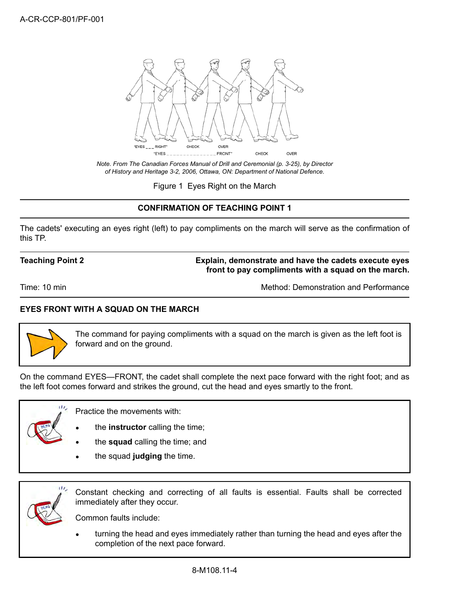

*Note. From The Canadian Forces Manual of Drill and Ceremonial (p. 3-25), by Director of History and Heritage 3-2, 2006, Ottawa, ON: Department of National Defence.*

Figure 1 Eyes Right on the March

# **CONFIRMATION OF TEACHING POINT 1**

The cadets' executing an eyes right (left) to pay compliments on the march will serve as the confirmation of this TP.

**Teaching Point 2 Explain, demonstrate and have the cadets execute eyes front to pay compliments with a squad on the march.**

Time: 10 min Method: Demonstration and Performance

# **EYES FRONT WITH A SQUAD ON THE MARCH**



The command for paying compliments with a squad on the march is given as the left foot is forward and on the ground.

On the command EYES—FRONT, the cadet shall complete the next pace forward with the right foot; and as the left foot comes forward and strikes the ground, cut the head and eyes smartly to the front.



Practice the movements with:

- the **instructor** calling the time;
- the **squad** calling the time; and
- the squad **judging** the time.



Constant checking and correcting of all faults is essential. Faults shall be corrected immediately after they occur.

Common faults include:

• turning the head and eyes immediately rather than turning the head and eyes after the completion of the next pace forward.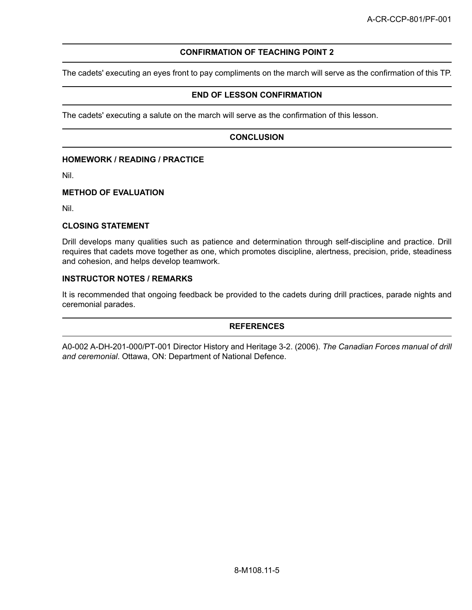# **CONFIRMATION OF TEACHING POINT 2**

The cadets' executing an eyes front to pay compliments on the march will serve as the confirmation of this TP.

## **END OF LESSON CONFIRMATION**

The cadets' executing a salute on the march will serve as the confirmation of this lesson.

## **CONCLUSION**

#### **HOMEWORK / READING / PRACTICE**

Nil.

#### **METHOD OF EVALUATION**

Nil.

#### **CLOSING STATEMENT**

Drill develops many qualities such as patience and determination through self-discipline and practice. Drill requires that cadets move together as one, which promotes discipline, alertness, precision, pride, steadiness and cohesion, and helps develop teamwork.

#### **INSTRUCTOR NOTES / REMARKS**

It is recommended that ongoing feedback be provided to the cadets during drill practices, parade nights and ceremonial parades.

## **REFERENCES**

A0-002 A-DH-201-000/PT-001 Director History and Heritage 3-2. (2006). *The Canadian Forces manual of drill and ceremonial*. Ottawa, ON: Department of National Defence.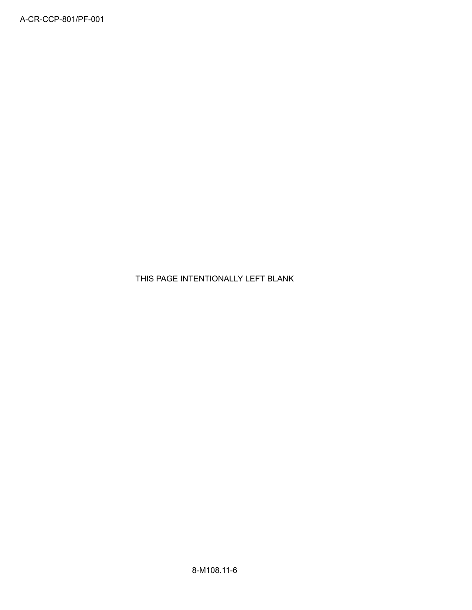THIS PAGE INTENTIONALLY LEFT BLANK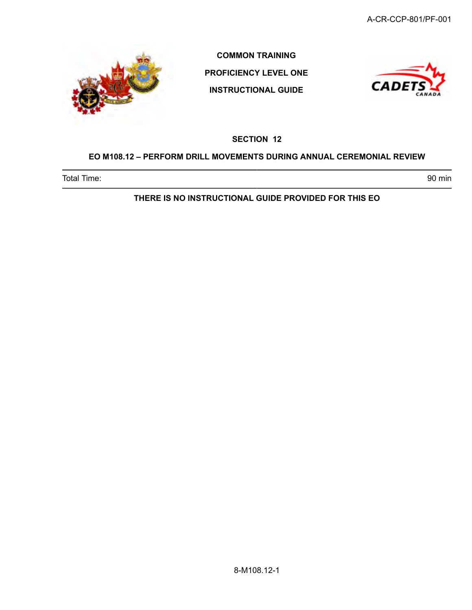

**COMMON TRAINING PROFICIENCY LEVEL ONE INSTRUCTIONAL GUIDE**



## **SECTION 12**

# **EO M108.12 – PERFORM DRILL MOVEMENTS DURING ANNUAL CEREMONIAL REVIEW**

Total Time: 90 min

**THERE IS NO INSTRUCTIONAL GUIDE PROVIDED FOR THIS EO**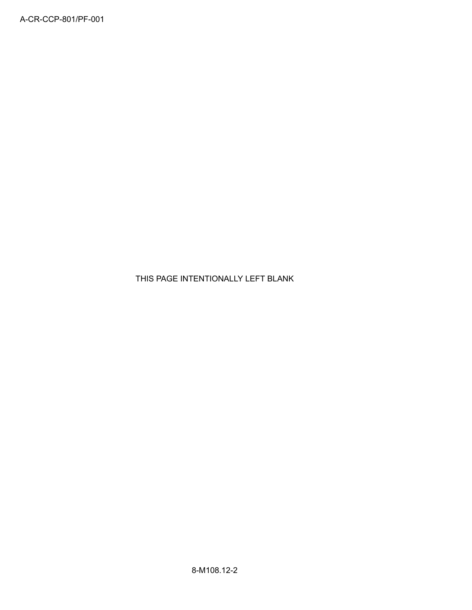THIS PAGE INTENTIONALLY LEFT BLANK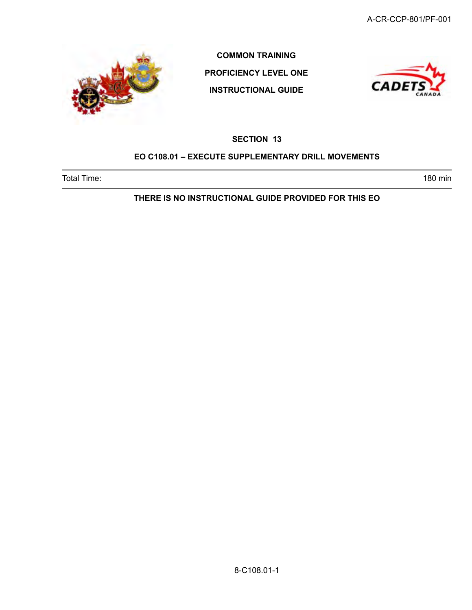

**COMMON TRAINING PROFICIENCY LEVEL ONE INSTRUCTIONAL GUIDE**



## **SECTION 13**

# **EO C108.01 – EXECUTE SUPPLEMENTARY DRILL MOVEMENTS**

Total Time: 180 min

**THERE IS NO INSTRUCTIONAL GUIDE PROVIDED FOR THIS EO**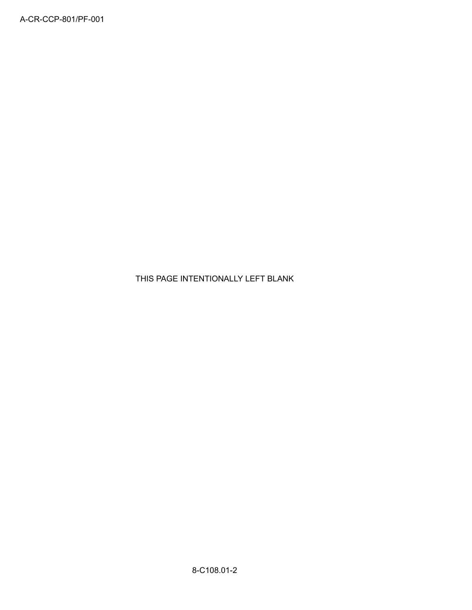THIS PAGE INTENTIONALLY LEFT BLANK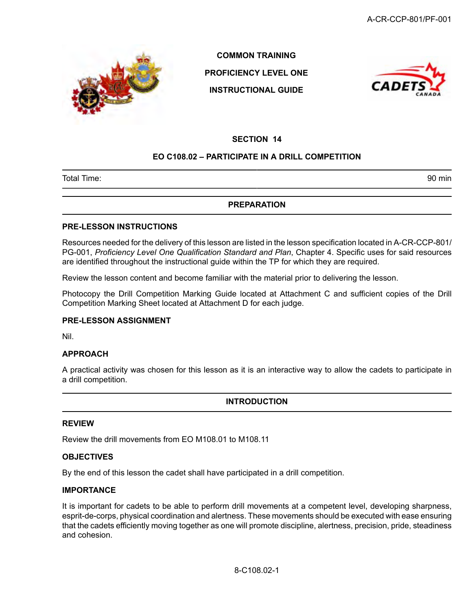

**COMMON TRAINING**

**PROFICIENCY LEVEL ONE**

**INSTRUCTIONAL GUIDE**



## **SECTION 14**

## **EO C108.02 – PARTICIPATE IN A DRILL COMPETITION**

Total Time: 90 min

## **PREPARATION**

## **PRE-LESSON INSTRUCTIONS**

Resources needed for the delivery of this lesson are listed in the lesson specification located in A-CR-CCP-801/ PG-001, *Proficiency Level One Qualification Standard and Plan*, Chapter 4. Specific uses for said resources are identified throughout the instructional guide within the TP for which they are required.

Review the lesson content and become familiar with the material prior to delivering the lesson.

Photocopy the Drill Competition Marking Guide located at Attachment C and sufficient copies of the Drill Competition Marking Sheet located at Attachment D for each judge.

## **PRE-LESSON ASSIGNMENT**

Nil.

#### **APPROACH**

A practical activity was chosen for this lesson as it is an interactive way to allow the cadets to participate in a drill competition.

**INTRODUCTION**

## **REVIEW**

Review the drill movements from EO M108.01 to M108.11

## **OBJECTIVES**

By the end of this lesson the cadet shall have participated in a drill competition.

#### **IMPORTANCE**

It is important for cadets to be able to perform drill movements at a competent level, developing sharpness, esprit-de-corps, physical coordination and alertness. These movements should be executed with ease ensuring that the cadets efficiently moving together as one will promote discipline, alertness, precision, pride, steadiness and cohesion.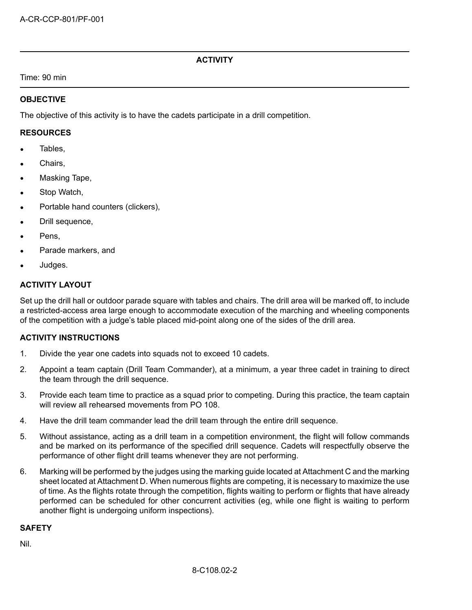# **ACTIVITY**

Time: 90 min

## **OBJECTIVE**

The objective of this activity is to have the cadets participate in a drill competition.

## **RESOURCES**

- Tables.
- Chairs,
- Masking Tape,
- Stop Watch,
- Portable hand counters (clickers),
- Drill sequence,
- Pens.
- Parade markers, and
- Judges.

## **ACTIVITY LAYOUT**

Set up the drill hall or outdoor parade square with tables and chairs. The drill area will be marked off, to include a restricted-access area large enough to accommodate execution of the marching and wheeling components of the competition with a judge's table placed mid-point along one of the sides of the drill area.

## **ACTIVITY INSTRUCTIONS**

- 1. Divide the year one cadets into squads not to exceed 10 cadets.
- 2. Appoint a team captain (Drill Team Commander), at a minimum, a year three cadet in training to direct the team through the drill sequence.
- 3. Provide each team time to practice as a squad prior to competing. During this practice, the team captain will review all rehearsed movements from PO 108
- 4. Have the drill team commander lead the drill team through the entire drill sequence.
- 5. Without assistance, acting as a drill team in a competition environment, the flight will follow commands and be marked on its performance of the specified drill sequence. Cadets will respectfully observe the performance of other flight drill teams whenever they are not performing.
- 6. Marking will be performed by the judges using the marking guide located at Attachment C and the marking sheet located at Attachment D. When numerous flights are competing, it is necessary to maximize the use of time. As the flights rotate through the competition, flights waiting to perform or flights that have already performed can be scheduled for other concurrent activities (eg, while one flight is waiting to perform another flight is undergoing uniform inspections).

# **SAFETY**

Nil.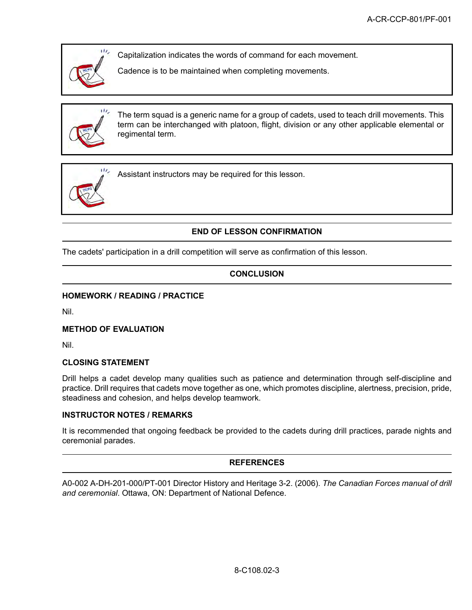u.

Capitalization indicates the words of command for each movement.

Cadence is to be maintained when completing movements.



The term squad is a generic name for a group of cadets, used to teach drill movements. This term can be interchanged with platoon, flight, division or any other applicable elemental or regimental term.



Assistant instructors may be required for this lesson.

# **END OF LESSON CONFIRMATION**

The cadets' participation in a drill competition will serve as confirmation of this lesson.

# **CONCLUSION**

## **HOMEWORK / READING / PRACTICE**

Nil.

#### **METHOD OF EVALUATION**

Nil.

## **CLOSING STATEMENT**

Drill helps a cadet develop many qualities such as patience and determination through self-discipline and practice. Drill requires that cadets move together as one, which promotes discipline, alertness, precision, pride, steadiness and cohesion, and helps develop teamwork.

#### **INSTRUCTOR NOTES / REMARKS**

It is recommended that ongoing feedback be provided to the cadets during drill practices, parade nights and ceremonial parades.

## **REFERENCES**

A0-002 A-DH-201-000/PT-001 Director History and Heritage 3-2. (2006). *The Canadian Forces manual of drill and ceremonial*. Ottawa, ON: Department of National Defence.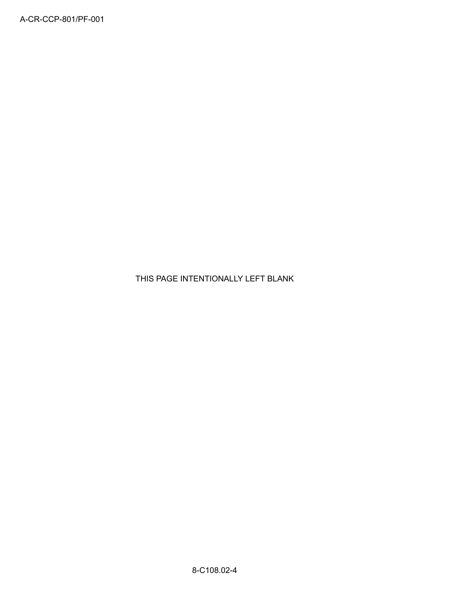THIS PAGE INTENTIONALLY LEFT BLANK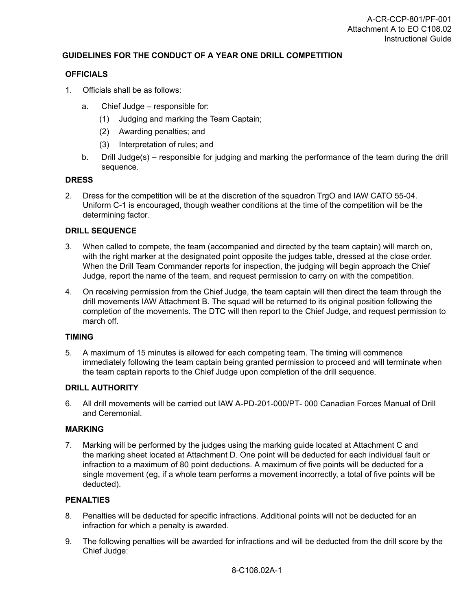# **GUIDELINES FOR THE CONDUCT OF A YEAR ONE DRILL COMPETITION**

## **OFFICIALS**

- 1. Officials shall be as follows:
	- a. Chief Judge responsible for:
		- (1) Judging and marking the Team Captain;
		- (2) Awarding penalties; and
		- (3) Interpretation of rules; and
	- b. Drill Judge(s) responsible for judging and marking the performance of the team during the drill sequence.

## **DRESS**

2. Dress for the competition will be at the discretion of the squadron TrgO and IAW CATO 55-04. Uniform C-1 is encouraged, though weather conditions at the time of the competition will be the determining factor.

# **DRILL SEQUENCE**

- 3. When called to compete, the team (accompanied and directed by the team captain) will march on, with the right marker at the designated point opposite the judges table, dressed at the close order. When the Drill Team Commander reports for inspection, the judging will begin approach the Chief Judge, report the name of the team, and request permission to carry on with the competition.
- 4. On receiving permission from the Chief Judge, the team captain will then direct the team through the drill movements IAW Attachment B. The squad will be returned to its original position following the completion of the movements. The DTC will then report to the Chief Judge, and request permission to march off.

## **TIMING**

5. A maximum of 15 minutes is allowed for each competing team. The timing will commence immediately following the team captain being granted permission to proceed and will terminate when the team captain reports to the Chief Judge upon completion of the drill sequence.

## **DRILL AUTHORITY**

6. All drill movements will be carried out IAW A-PD-201-000/PT- 000 Canadian Forces Manual of Drill and Ceremonial.

## **MARKING**

7. Marking will be performed by the judges using the marking guide located at Attachment C and the marking sheet located at Attachment D. One point will be deducted for each individual fault or infraction to a maximum of 80 point deductions. A maximum of five points will be deducted for a single movement (eg, if a whole team performs a movement incorrectly, a total of five points will be deducted).

# **PENALTIES**

- 8. Penalties will be deducted for specific infractions. Additional points will not be deducted for an infraction for which a penalty is awarded.
- 9. The following penalties will be awarded for infractions and will be deducted from the drill score by the Chief Judge: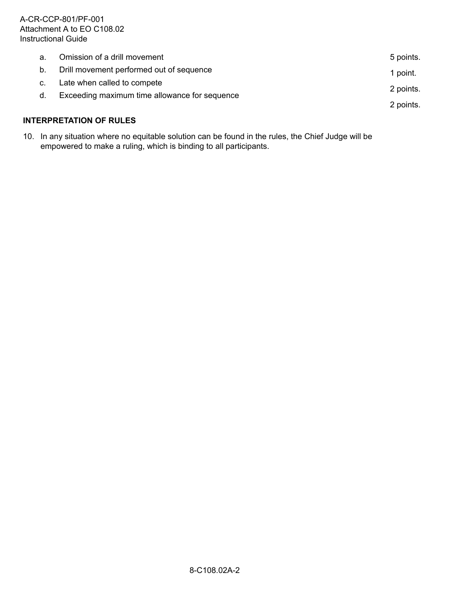| а. | Omission of a drill movement                  | 5 points. |
|----|-----------------------------------------------|-----------|
| b. | Drill movement performed out of sequence      | 1 point.  |
| C. | Late when called to compete                   | 2 points. |
| d. | Exceeding maximum time allowance for sequence |           |
|    |                                               | 2 points. |

# **INTERPRETATION OF RULES**

10. In any situation where no equitable solution can be found in the rules, the Chief Judge will be empowered to make a ruling, which is binding to all participants.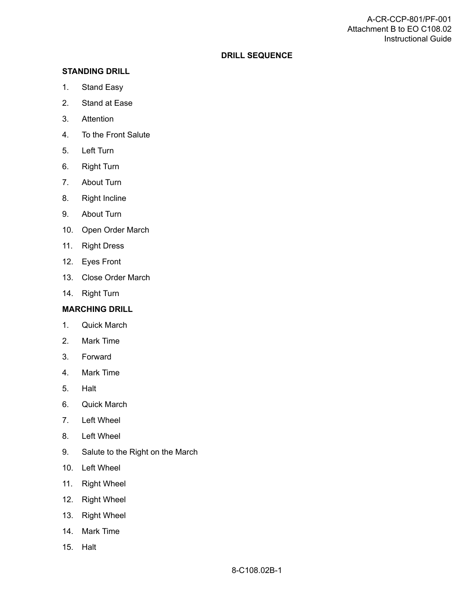## **DRILL SEQUENCE**

## **STANDING DRILL**

- 1. Stand Easy
- 2. Stand at Ease
- 3. Attention
- 4. To the Front Salute
- 5. Left Turn
- 6. Right Turn
- 7. About Turn
- 8. Right Incline
- 9. About Turn
- 10. Open Order March
- 11. Right Dress
- 12. Eyes Front
- 13. Close Order March
- 14. Right Turn

# **MARCHING DRILL**

- 1. Quick March
- 2. Mark Time
- 3. Forward
- 4. Mark Time
- 5. Halt
- 6. Quick March
- 7. Left Wheel
- 8. Left Wheel
- 9. Salute to the Right on the March
- 10. Left Wheel
- 11. Right Wheel
- 12. Right Wheel
- 13. Right Wheel
- 14. Mark Time
- 15. Halt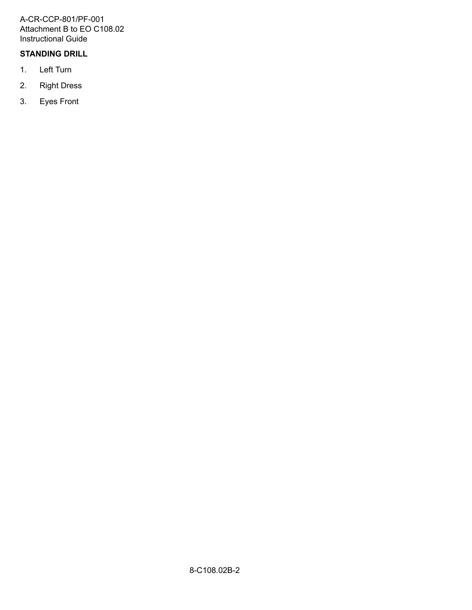A-CR-CCP-801/PF-001 Attachment B to EO C108.02 Instructional Guide

# **STANDING DRILL**

- 1. Left Turn
- 2. Right Dress
- 3. Eyes Front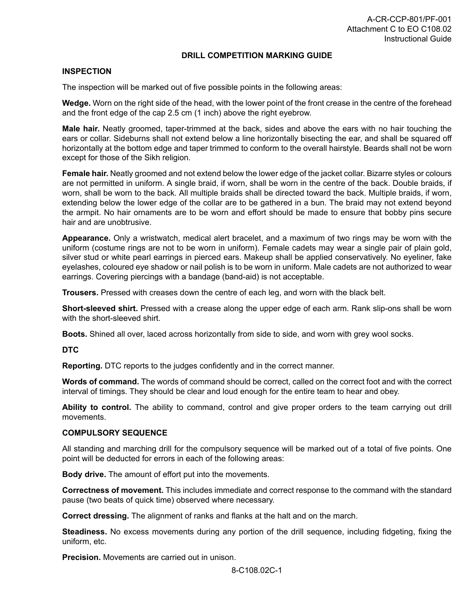## **DRILL COMPETITION MARKING GUIDE**

## **INSPECTION**

The inspection will be marked out of five possible points in the following areas:

**Wedge.** Worn on the right side of the head, with the lower point of the front crease in the centre of the forehead and the front edge of the cap 2.5 cm (1 inch) above the right eyebrow.

**Male hair.** Neatly groomed, taper-trimmed at the back, sides and above the ears with no hair touching the ears or collar. Sideburns shall not extend below a line horizontally bisecting the ear, and shall be squared off horizontally at the bottom edge and taper trimmed to conform to the overall hairstyle. Beards shall not be worn except for those of the Sikh religion.

**Female hair.** Neatly groomed and not extend below the lower edge of the jacket collar. Bizarre styles or colours are not permitted in uniform. A single braid, if worn, shall be worn in the centre of the back. Double braids, if worn, shall be worn to the back. All multiple braids shall be directed toward the back. Multiple braids, if worn, extending below the lower edge of the collar are to be gathered in a bun. The braid may not extend beyond the armpit. No hair ornaments are to be worn and effort should be made to ensure that bobby pins secure hair and are unobtrusive.

**Appearance.** Only a wristwatch, medical alert bracelet, and a maximum of two rings may be worn with the uniform (costume rings are not to be worn in uniform). Female cadets may wear a single pair of plain gold, silver stud or white pearl earrings in pierced ears. Makeup shall be applied conservatively. No eyeliner, fake eyelashes, coloured eye shadow or nail polish is to be worn in uniform. Male cadets are not authorized to wear earrings. Covering piercings with a bandage (band-aid) is not acceptable.

**Trousers.** Pressed with creases down the centre of each leg, and worn with the black belt.

**Short-sleeved shirt.** Pressed with a crease along the upper edge of each arm. Rank slip-ons shall be worn with the short-sleeved shirt.

**Boots.** Shined all over, laced across horizontally from side to side, and worn with grey wool socks.

#### **DTC**

**Reporting.** DTC reports to the judges confidently and in the correct manner.

**Words of command.** The words of command should be correct, called on the correct foot and with the correct interval of timings. They should be clear and loud enough for the entire team to hear and obey.

**Ability to control.** The ability to command, control and give proper orders to the team carrying out drill movements.

#### **COMPULSORY SEQUENCE**

All standing and marching drill for the compulsory sequence will be marked out of a total of five points. One point will be deducted for errors in each of the following areas:

**Body drive.** The amount of effort put into the movements.

**Correctness of movement.** This includes immediate and correct response to the command with the standard pause (two beats of quick time) observed where necessary.

**Correct dressing.** The alignment of ranks and flanks at the halt and on the march.

**Steadiness.** No excess movements during any portion of the drill sequence, including fidgeting, fixing the uniform, etc.

**Precision.** Movements are carried out in unison.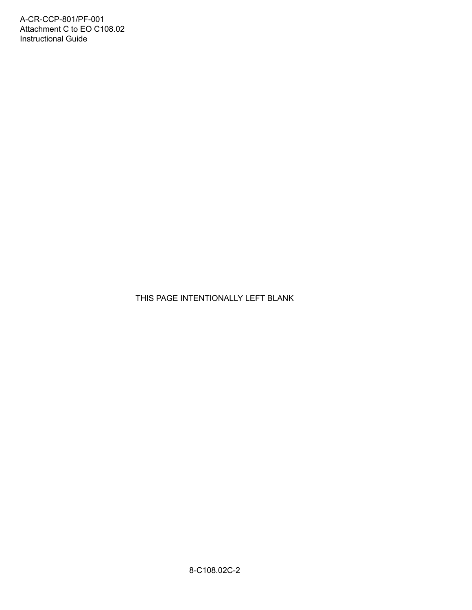A-CR-CCP-801/PF-001 Attachment C to EO C108.02 Instructional Guide

THIS PAGE INTENTIONALLY LEFT BLANK

8-C108.02C-2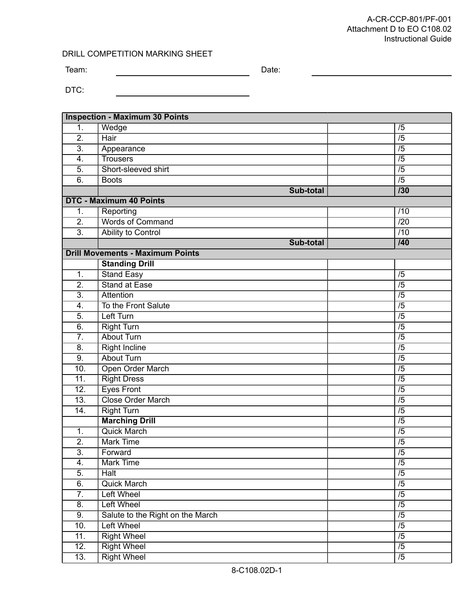# DRILL COMPETITION MARKING SHEET

Team: Date:

DTC:

|                   | <b>Inspection - Maximum 30 Points</b>   |                  |
|-------------------|-----------------------------------------|------------------|
| $\overline{1}$ .  | Wedge                                   | /5               |
| $\overline{2}$ .  | Hair                                    | $\overline{75}$  |
| $\overline{3}$ .  | Appearance                              | $\overline{75}$  |
| $\overline{4}$ .  | <b>Trousers</b>                         | $\overline{75}$  |
| $\overline{5}$ .  | Short-sleeved shirt                     | $\overline{75}$  |
| $\overline{6}$ .  | <b>Boots</b>                            | $\overline{75}$  |
|                   | Sub-total                               | $\overline{130}$ |
|                   | <b>DTC - Maximum 40 Points</b>          |                  |
| 1.                | Reporting                               | /10              |
| $\overline{2}$ .  | <b>Words of Command</b>                 | $\overline{120}$ |
| $\overline{3}$ .  | <b>Ability to Control</b>               | $\overline{110}$ |
|                   | Sub-total                               | $\overline{140}$ |
|                   | <b>Drill Movements - Maximum Points</b> |                  |
|                   | <b>Standing Drill</b>                   |                  |
| $\overline{1}$ .  | <b>Stand Easy</b>                       | $\overline{75}$  |
| $\overline{2}$ .  | <b>Stand at Ease</b>                    | $\overline{75}$  |
| $\overline{3}$ .  | Attention                               | $\overline{75}$  |
| 4.                | To the Front Salute                     | $\overline{75}$  |
| $\overline{5}$ .  | Left Turn                               | $\overline{75}$  |
| $\overline{6}$ .  | <b>Right Turn</b>                       | $\overline{75}$  |
| $\overline{7}$ .  | <b>About Turn</b>                       | $\overline{75}$  |
| $\overline{8}$ .  | <b>Right Incline</b>                    | $\overline{75}$  |
| $\overline{9}$ .  | <b>About Turn</b>                       | $\overline{75}$  |
| 10.               | Open Order March                        | $\overline{75}$  |
| $\overline{11}$ . | <b>Right Dress</b>                      | $\overline{75}$  |
| $\overline{12}$ . | <b>Eyes Front</b>                       | $\overline{75}$  |
| $\overline{13}$ . | <b>Close Order March</b>                | $\overline{75}$  |
| 14.               | <b>Right Turn</b>                       | $\overline{75}$  |
|                   | <b>Marching Drill</b>                   | $\overline{75}$  |
| 1.                | <b>Quick March</b>                      | $\overline{75}$  |
| $\overline{2}$ .  | <b>Mark Time</b>                        | $\overline{75}$  |
| $\overline{3}$    | Forward                                 | $\overline{75}$  |
| 4.                | <b>Mark Time</b>                        | $\sqrt{5}$       |
| $\overline{5}$ .  | Halt                                    | $\overline{75}$  |
| $\overline{6}$ .  | <b>Quick March</b>                      | $\overline{75}$  |
| $\overline{7}$ .  | <b>Left Wheel</b>                       | $\overline{75}$  |
| $\overline{8}$ .  | <b>Left Wheel</b>                       | $\overline{75}$  |
| 9.                | Salute to the Right on the March        | $\overline{75}$  |
| 10.               | <b>Left Wheel</b>                       | $\overline{75}$  |
| 11.               | <b>Right Wheel</b>                      | $\overline{75}$  |
| 12.               | <b>Right Wheel</b>                      | $\overline{75}$  |
| 13.               | <b>Right Wheel</b>                      | $\overline{75}$  |